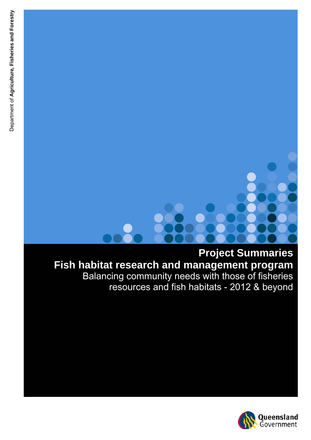**Project Summaries Fish habitat research and management program** Balancing community needs with those of fisheries resources and fish habitats - 2012 & beyond

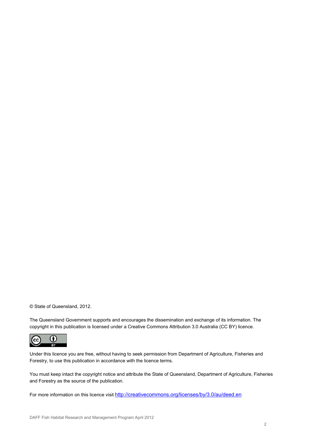© State of Queensland, 2012.

The Queensland Government supports and encourages the dissemination and exchange of its information. The copyright in this publication is licensed under a Creative Commons Attribution 3.0 Australia (CC BY) licence.



Under this licence you are free, without having to seek permission from Department of Agriculture, Fisheries and Forestry, to use this publication in accordance with the licence terms.

You must keep intact the copyright notice and attribute the State of Queensland, Department of Agriculture, Fisheries and Forestry as the source of the publication.

For more information on this licence visit<http://creativecommons.org/licenses/by/3.0/au/deed.en>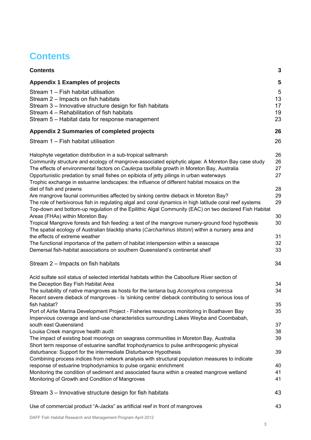# <span id="page-2-0"></span>**Contents**

| <b>Contents</b>                                                                                                                                                                                                                                                                                                                                                                                                                                            | 3                         |
|------------------------------------------------------------------------------------------------------------------------------------------------------------------------------------------------------------------------------------------------------------------------------------------------------------------------------------------------------------------------------------------------------------------------------------------------------------|---------------------------|
| <b>Appendix 1 Examples of projects</b>                                                                                                                                                                                                                                                                                                                                                                                                                     | 5                         |
| Stream 1 - Fish habitat utilisation<br>Stream 2 – Impacts on fish habitats<br>Stream 3 – Innovative structure design for fish habitats<br>Stream 4 - Rehabilitation of fish habitats<br>Stream 5 – Habitat data for response management                                                                                                                                                                                                                    | 5<br>13<br>17<br>19<br>23 |
| <b>Appendix 2 Summaries of completed projects</b>                                                                                                                                                                                                                                                                                                                                                                                                          | 26                        |
| Stream 1 - Fish habitat utilisation                                                                                                                                                                                                                                                                                                                                                                                                                        | 26                        |
| Halophyte vegetation distribution in a sub-tropical saltmarsh<br>Community structure and ecology of mangrove-associated epiphytic algae: A Moreton Bay case study<br>The effects of environmental factors on Caulerpa taxifolia growth in Moreton Bay, Australia<br>Opportunistic predation by small fishes on epibiota of jetty pilings in urban waterways<br>Trophic exchange in estuarine landscapes: the influence of different habitat mosaics on the | 26<br>26<br>27<br>27      |
| diet of fish and prawns                                                                                                                                                                                                                                                                                                                                                                                                                                    | 28                        |
| Are mangrove faunal communities affected by sinking centre dieback in Moreton Bay?<br>The role of herbivorous fish in regulating algal and coral dynamics in high latitude coral reef systems                                                                                                                                                                                                                                                              | 29<br>29                  |
| Top-down and bottom-up regulation of the Epilithic Algal Community (EAC) on two declared Fish Habitat<br>Areas (FHAs) within Moreton Bay.<br>Tropical Mangrove forests and fish feeding: a test of the mangrove nursery-ground food hypothesis                                                                                                                                                                                                             | 30<br>30                  |
| The spatial ecology of Australian blacktip sharks (Carcharhinus tilstoni) within a nursery area and<br>the effects of extreme weather                                                                                                                                                                                                                                                                                                                      | 31                        |
| The functional importance of the pattern of habitat interspersion within a seascape<br>Demersal fish-habitat associations on southern Queensland's continental shelf                                                                                                                                                                                                                                                                                       | 32<br>33                  |
| Stream 2 – Impacts on fish habitats                                                                                                                                                                                                                                                                                                                                                                                                                        | 34                        |
| Acid sulfate soil status of selected intertidal habitats within the Caboolture River section of                                                                                                                                                                                                                                                                                                                                                            |                           |
| the Deception Bay Fish Habitat Area                                                                                                                                                                                                                                                                                                                                                                                                                        | 34                        |
| The suitability of native mangroves as hosts for the lantana bug Aconophora compressa<br>Recent severe dieback of mangroves - Is 'sinking centre' dieback contributing to serious loss of                                                                                                                                                                                                                                                                  | 34                        |
| fish habitat?                                                                                                                                                                                                                                                                                                                                                                                                                                              | 35                        |
| Port of Airlie Marina Development Project - Fisheries resources monitoring in Boathaven Bay<br>Impervious coverage and land-use characteristics surrounding Lakes Weyba and Coombabah,                                                                                                                                                                                                                                                                     | 35                        |
| south east Queensland<br>Louisa Creek mangrove health audit                                                                                                                                                                                                                                                                                                                                                                                                | 37<br>38                  |
| The impact of existing boat moorings on seagrass communities in Moreton Bay, Australia<br>Short term response of estuarine sandflat trophodynamics to pulse anthropogenic physical                                                                                                                                                                                                                                                                         | 39                        |
| disturbance: Support for the intermediate Disturbance Hypothesis<br>Combining process indices from network analysis with structural population measures to indicate                                                                                                                                                                                                                                                                                        | 39                        |
| response of estuarine trophodynamics to pulse organic enrichment                                                                                                                                                                                                                                                                                                                                                                                           | 40                        |
| Monitoring the condition of sediment and associated fauna within a created mangrove wetland<br>Monitoring of Growth and Condition of Mangroves                                                                                                                                                                                                                                                                                                             | 41<br>41                  |
| Stream 3 – Innovative structure design for fish habitats                                                                                                                                                                                                                                                                                                                                                                                                   | 43                        |
| Use of commercial product "A-Jacks" as artificial reef in front of mangroves                                                                                                                                                                                                                                                                                                                                                                               | 43                        |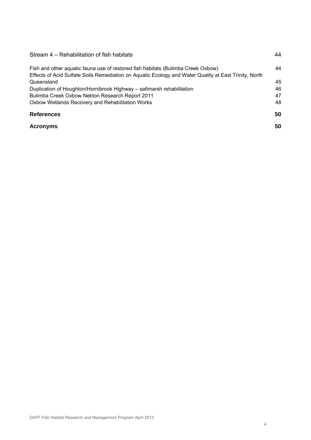| Stream 4 – Rehabilitation of fish habitats                                                                                                                                                | 44 |
|-------------------------------------------------------------------------------------------------------------------------------------------------------------------------------------------|----|
| Fish and other aguatic fauna use of restored fish habitats (Bulimba Creek Oxbow)<br>Effects of Acid Sulfate Soils Remediation on Aquatic Ecology and Water Quality at East Trinity, North | 44 |
| Queensland                                                                                                                                                                                | 45 |
| Duplication of Houghton/Hornibrook Highway - saltmarsh rehabilitation                                                                                                                     | 46 |
| Bulimba Creek Oxbow Nekton Research Report 2011                                                                                                                                           | 47 |
| Oxbow Wetlands Recovery and Rehabilitation Works                                                                                                                                          | 48 |
| <b>References</b>                                                                                                                                                                         | 50 |
| <b>Acronyms</b>                                                                                                                                                                           | 50 |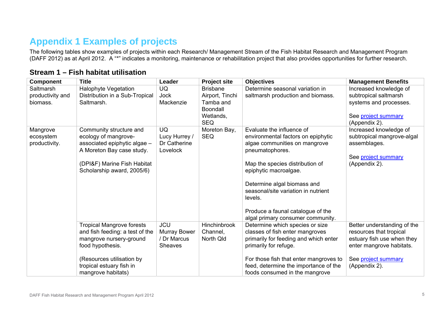# **Appendix 1 Examples of projects**

The following tables show examples of projects within each Research/ Management Stream of the Fish Habitat Research and Management Program (DAFF 2012) as at April 2012. A "\*" indicates a monitoring, maintenance or rehabilitation project that also provides opportunities for further research.

<span id="page-4-1"></span><span id="page-4-0"></span>

| <b>Component</b> | <b>Title</b>                                               | Leader                      | <b>Project site</b>     | <b>Objectives</b>                                                        | <b>Management Benefits</b>                            |
|------------------|------------------------------------------------------------|-----------------------------|-------------------------|--------------------------------------------------------------------------|-------------------------------------------------------|
| Saltmarsh        | <b>Halophyte Vegetation</b>                                | <b>UQ</b>                   | <b>Brisbane</b>         | Determine seasonal variation in                                          | Increased knowledge of                                |
| productivity and | Distribution in a Sub-Tropical                             | <b>Jock</b>                 | Airport, Tinchi         | saltmarsh production and biomass.                                        | subtropical saltmarsh                                 |
| biomass.         | Saltmarsh.                                                 | Mackenzie                   | Tamba and               |                                                                          | systems and processes.                                |
|                  |                                                            |                             | Boondall                |                                                                          |                                                       |
|                  |                                                            |                             | Wetlands,<br><b>SEQ</b> |                                                                          | See project summary<br>(Appendix 2).                  |
| Mangrove         | Community structure and                                    | <b>UQ</b>                   | Moreton Bay,            | Evaluate the influence of                                                | Increased knowledge of                                |
| ecosystem        | ecology of mangrove-                                       | Lucy Hurrey /               | <b>SEQ</b>              | environmental factors on epiphytic                                       | subtropical mangrove-algal                            |
| productivity.    | associated epiphytic algae -                               | Dr Catherine                |                         | algae communities on mangrove                                            | assemblages.                                          |
|                  | A Moreton Bay case study.                                  | Lovelock                    |                         | pneumatophores.                                                          |                                                       |
|                  |                                                            |                             |                         |                                                                          | See project summary                                   |
|                  | (DPI&F) Marine Fish Habitat                                |                             |                         | Map the species distribution of                                          | (Appendix 2).                                         |
|                  | Scholarship award, 2005/6)                                 |                             |                         | epiphytic macroalgae.                                                    |                                                       |
|                  |                                                            |                             |                         | Determine algal biomass and                                              |                                                       |
|                  |                                                            |                             |                         | seasonal/site variation in nutrient                                      |                                                       |
|                  |                                                            |                             |                         | levels.                                                                  |                                                       |
|                  |                                                            |                             |                         |                                                                          |                                                       |
|                  |                                                            |                             |                         | Produce a faunal catalogue of the                                        |                                                       |
|                  |                                                            |                             |                         | algal primary consumer community.                                        |                                                       |
|                  | <b>Tropical Mangrove forests</b>                           | <b>JCU</b>                  | Hinchinbrook            | Determine which species or size                                          | Better understanding of the                           |
|                  | and fish feeding: a test of the<br>mangrove nursery-ground | Murray Bower<br>/ Dr Marcus | Channel,<br>North Qld   | classes of fish enter mangroves<br>primarily for feeding and which enter | resources that tropical<br>estuary fish use when they |
|                  | food hypothesis.                                           | <b>Sheaves</b>              |                         | primarily for refuge.                                                    | enter mangrove habitats.                              |
|                  |                                                            |                             |                         |                                                                          |                                                       |
|                  | (Resources utilisation by                                  |                             |                         | For those fish that enter mangroves to                                   | See project summary                                   |
|                  | tropical estuary fish in                                   |                             |                         | feed, determine the importance of the                                    | (Appendix 2).                                         |
|                  | mangrove habitats)                                         |                             |                         | foods consumed in the mangrove                                           |                                                       |

## **Stream 1 – Fish habitat utilisation**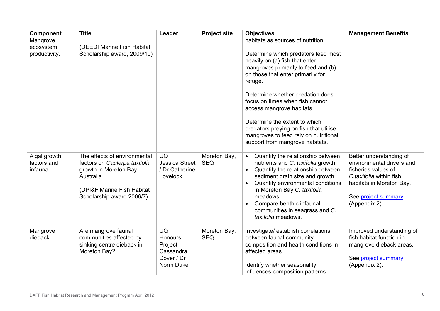| <b>Component</b>                        | <b>Title</b>                                                                                                                                                     | Leader                                                                  | <b>Project site</b>        | <b>Objectives</b>                                                                                                                                                                                                                                                                                                                                                                                                                                            | <b>Management Benefits</b>                                                                                                                                                 |
|-----------------------------------------|------------------------------------------------------------------------------------------------------------------------------------------------------------------|-------------------------------------------------------------------------|----------------------------|--------------------------------------------------------------------------------------------------------------------------------------------------------------------------------------------------------------------------------------------------------------------------------------------------------------------------------------------------------------------------------------------------------------------------------------------------------------|----------------------------------------------------------------------------------------------------------------------------------------------------------------------------|
| Mangrove<br>ecosystem<br>productivity.  | (DEEDI Marine Fish Habitat<br>Scholarship award, 2009/10)                                                                                                        |                                                                         |                            | habitats as sources of nutrition.<br>Determine which predators feed most<br>heavily on (a) fish that enter<br>mangroves primarily to feed and (b)<br>on those that enter primarily for<br>refuge.<br>Determine whether predation does<br>focus on times when fish cannot<br>access mangrove habitats.<br>Determine the extent to which<br>predators preying on fish that utilise<br>mangroves to feed rely on nutritional<br>support from mangrove habitats. |                                                                                                                                                                            |
| Algal growth<br>factors and<br>infauna. | The effects of environmental<br>factors on Caulerpa taxifolia<br>growth in Moreton Bay,<br>Australia.<br>(DPI&F Marine Fish Habitat<br>Scholarship award 2006/7) | <b>UQ</b><br><b>Jessica Street</b><br>/ Dr Catherine<br>Lovelock        | Moreton Bay,<br><b>SEQ</b> | Quantify the relationship between<br>nutrients and C. taxifolia growth;<br>Quantify the relationship between<br>$\bullet$<br>sediment grain size and growth;<br>Quantify environmental conditions<br>$\bullet$<br>in Moreton Bay C. taxifolia<br>meadows;<br>Compare benthic infaunal<br>communities in seagrass and C.<br>taxifolia meadows.                                                                                                                | Better understanding of<br>environmental drivers and<br>fisheries values of<br>C.taxifolia within fish<br>habitats in Moreton Bay.<br>See project summary<br>(Appendix 2). |
| Mangrove<br>dieback                     | Are mangrove faunal<br>communities affected by<br>sinking centre dieback in<br>Moreton Bay?                                                                      | <b>UQ</b><br>Honours<br>Project<br>Cassandra<br>Dover / Dr<br>Norm Duke | Moreton Bay,<br><b>SEQ</b> | Investigate/ establish correlations<br>between faunal community<br>composition and health conditions in<br>affected areas.<br>Identify whether seasonality<br>influences composition patterns.                                                                                                                                                                                                                                                               | Improved understanding of<br>fish habitat function in<br>mangrove dieback areas.<br>See project summary<br>(Appendix 2).                                                   |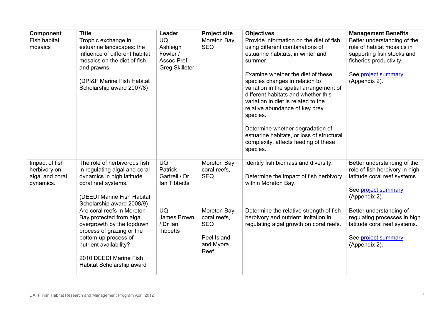| <b>Component</b>                                               | <b>Title</b>                                                                                                                                                                                                              | Leader                                                                   | <b>Project site</b>                                                           | <b>Objectives</b>                                                                                                                                                                                                                                                                                                                                                               | <b>Management Benefits</b>                                                                                                            |
|----------------------------------------------------------------|---------------------------------------------------------------------------------------------------------------------------------------------------------------------------------------------------------------------------|--------------------------------------------------------------------------|-------------------------------------------------------------------------------|---------------------------------------------------------------------------------------------------------------------------------------------------------------------------------------------------------------------------------------------------------------------------------------------------------------------------------------------------------------------------------|---------------------------------------------------------------------------------------------------------------------------------------|
| Fish habitat<br>mosaics                                        | Trophic exchange in<br>estuarine landscapes: the<br>influence of different habitat<br>mosaics on the diet of fish<br>and prawns.                                                                                          | <b>UQ</b><br>Ashleigh<br>Fowler /<br>Assoc Prof<br><b>Greg Skilleter</b> | Moreton Bay,<br><b>SEQ</b>                                                    | Provide information on the diet of fish<br>using different combinations of<br>estuarine habitats, in winter and<br>summer.                                                                                                                                                                                                                                                      | Better understanding of the<br>role of habitat mosaics in<br>supporting fish stocks and<br>fisheries productivity.                    |
|                                                                | (DPI&F Marine Fish Habitat<br>Scholarship award 2007/8)                                                                                                                                                                   |                                                                          |                                                                               | Examine whether the diet of these<br>species changes in relation to<br>variation in the spatial arrangement of<br>different habitats and whether this<br>variation in diet is related to the<br>relative abundance of key prey<br>species.<br>Determine whether degradation of<br>estuarine habitats, or loss of structural<br>complexity, affects feeding of these<br>species. | See project summary<br>(Appendix 2).                                                                                                  |
| Impact of fish<br>herbivory on<br>algal and coral<br>dynamics. | The role of herbivorous fish<br>in regulating algal and coral<br>dynamics in high latitude<br>coral reef systems.<br>(DEEDI Marine Fish Habitat<br>Scholarship award 2008/9)                                              | <b>UQ</b><br>Patrick<br>Gartrell / Dr<br>lan Tibbetts                    | Moreton Bay<br>coral reefs,<br><b>SEQ</b>                                     | Identify fish biomass and diversity.<br>Determine the impact of fish herbivory<br>within Moreton Bay.                                                                                                                                                                                                                                                                           | Better understanding of the<br>role of fish herbivory in high<br>latitude coral reef systems.<br>See project summary<br>(Appendix 2). |
|                                                                | Are coral reefs in Moreton<br>Bay protected from algal<br>overgrowth by the topdown<br>process of grazing or the<br>bottom-up process of<br>nutrient availability?<br>2010 DEEDI Marine Fish<br>Habitat Scholarship award | <b>UQ</b><br>James Brown<br>/ Dr Ian<br><b>Tibbetts</b>                  | Moreton Bay<br>coral reefs,<br><b>SEQ</b><br>Peel Island<br>and Myora<br>Reef | Determine the relative strength of fish<br>herbivory and nutrient limitation in<br>regulating algal growth on coral reefs.                                                                                                                                                                                                                                                      | Better understanding of<br>regulating processes in high<br>latitude coral reef systems.<br>See project summary<br>(Appendix 2).       |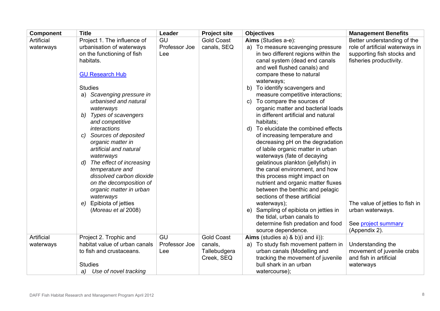| <b>Component</b> | <b>Title</b>                                       | Leader        | <b>Project site</b> | <b>Objectives</b>                                                              | <b>Management Benefits</b>      |
|------------------|----------------------------------------------------|---------------|---------------------|--------------------------------------------------------------------------------|---------------------------------|
| Artificial       | Project 1. The influence of                        | GU            | <b>Gold Coast</b>   | Aims (Studies a-e):                                                            | Better understanding of the     |
| waterways        | urbanisation of waterways                          | Professor Joe | canals, SEQ         | a) To measure scavenging pressure                                              | role of artificial waterways in |
|                  | on the functioning of fish                         | Lee           |                     | in two different regions within the                                            | supporting fish stocks and      |
|                  | habitats.                                          |               |                     | canal system (dead end canals                                                  | fisheries productivity.         |
|                  |                                                    |               |                     | and well flushed canals) and                                                   |                                 |
|                  | <b>GU Research Hub</b>                             |               |                     | compare these to natural                                                       |                                 |
|                  |                                                    |               |                     | waterways;                                                                     |                                 |
|                  | <b>Studies</b>                                     |               |                     | b) To identify scavengers and                                                  |                                 |
|                  | a) Scavenging pressure in<br>urbanised and natural |               |                     | measure competitive interactions;<br>To compare the sources of<br>$\mathbf{C}$ |                                 |
|                  | waterways                                          |               |                     | organic matter and bacterial loads                                             |                                 |
|                  | <b>Types of scavengers</b><br>b)                   |               |                     | in different artificial and natural                                            |                                 |
|                  | and competitive                                    |               |                     | habitats:                                                                      |                                 |
|                  | <i>interactions</i>                                |               |                     | d) To elucidate the combined effects                                           |                                 |
|                  | Sources of deposited<br>C)                         |               |                     | of increasing temperature and                                                  |                                 |
|                  | organic matter in                                  |               |                     | decreasing pH on the degradation                                               |                                 |
|                  | artificial and natural                             |               |                     | of labile organic matter in urban                                              |                                 |
|                  | waterways                                          |               |                     | waterways (fate of decaying                                                    |                                 |
|                  | The effect of increasing<br>d)                     |               |                     | gelatinous plankton (jellyfish) in                                             |                                 |
|                  | temperature and                                    |               |                     | the canal environment, and how                                                 |                                 |
|                  | dissolved carbon dioxide                           |               |                     | this process might impact on                                                   |                                 |
|                  | on the decomposition of                            |               |                     | nutrient and organic matter fluxes                                             |                                 |
|                  | organic matter in urban                            |               |                     | between the benthic and pelagic                                                |                                 |
|                  | waterways                                          |               |                     | sections of these artificial                                                   |                                 |
|                  | Epibiota of jetties<br>e).                         |               |                     | waterways);                                                                    | The value of jetties to fish in |
|                  | (Moreau et al 2008)                                |               |                     | e) Sampling of epibiota on jetties in                                          | urban waterways.                |
|                  |                                                    |               |                     | the tidal, urban canals to<br>determine fish predation and food                | See project summary             |
|                  |                                                    |               |                     | source dependence.                                                             | (Appendix 2).                   |
| Artificial       | Project 2. Trophic and                             | GU            | <b>Gold Coast</b>   | Aims (studies a) & b)(i and ii)):                                              |                                 |
| waterways        | habitat value of urban canals                      | Professor Joe | canals,             | a) To study fish movement pattern in                                           | Understanding the               |
|                  | to fish and crustaceans.                           | Lee           | Tallebudgera        | urban canals (Modelling and                                                    | movement of juvenile crabs      |
|                  |                                                    |               | Creek, SEQ          | tracking the movement of juvenile                                              | and fish in artificial          |
|                  | <b>Studies</b>                                     |               |                     | bull shark in an urban                                                         | waterways                       |
|                  | Use of novel tracking<br>a)                        |               |                     | watercourse);                                                                  |                                 |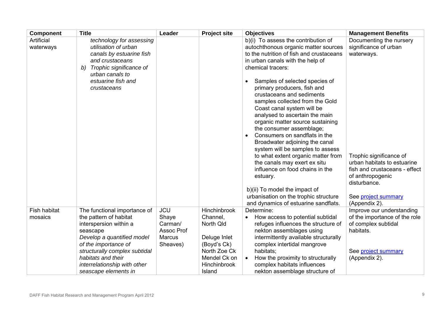| <b>Component</b>               | <b>Title</b>                                                                                                                                                                                                                                                      | Leader                                                                    | <b>Project site</b>                                                                                                            | <b>Objectives</b>                                                                                                                                                                                                                                                                                                                                                                                                                                                                                                                                                                                                                                                                                                                                                                                            | <b>Management Benefits</b>                                                                                                                                                                                                            |
|--------------------------------|-------------------------------------------------------------------------------------------------------------------------------------------------------------------------------------------------------------------------------------------------------------------|---------------------------------------------------------------------------|--------------------------------------------------------------------------------------------------------------------------------|--------------------------------------------------------------------------------------------------------------------------------------------------------------------------------------------------------------------------------------------------------------------------------------------------------------------------------------------------------------------------------------------------------------------------------------------------------------------------------------------------------------------------------------------------------------------------------------------------------------------------------------------------------------------------------------------------------------------------------------------------------------------------------------------------------------|---------------------------------------------------------------------------------------------------------------------------------------------------------------------------------------------------------------------------------------|
| Artificial<br>waterways        | technology for assessing<br>utilisation of urban<br>canals by estuarine fish<br>and crustaceans<br>Trophic significance of<br>b)<br>urban canals to<br>estuarine fish and<br>crustaceans                                                                          |                                                                           |                                                                                                                                | b)(i) To assess the contribution of<br>autochthonous organic matter sources<br>to the nutrition of fish and crustaceans<br>in urban canals with the help of<br>chemical tracers:<br>Samples of selected species of<br>primary producers, fish and<br>crustaceans and sediments<br>samples collected from the Gold<br>Coast canal system will be<br>analysed to ascertain the main<br>organic matter source sustaining<br>the consumer assemblage;<br>Consumers on sandflats in the<br>$\bullet$<br>Broadwater adjoining the canal<br>system will be samples to assess<br>to what extent organic matter from<br>the canals may exert ex situ<br>influence on food chains in the<br>estuary.<br>b)(ii) To model the impact of<br>urbanisation on the trophic structure<br>and dynamics of estuarine sandflats. | Documenting the nursery<br>significance of urban<br>waterways.<br>Trophic significance of<br>urban habitats to estuarine<br>fish and crustaceans - effect<br>of anthropogenic<br>disturbance.<br>See project summary<br>(Appendix 2). |
| <b>Fish habitat</b><br>mosaics | The functional importance of<br>the pattern of habitat<br>interspersion within a<br>seascape<br>Develop a quantified model<br>of the importance of<br>structurally complex subtidal<br>habitats and their<br>interrelationship with other<br>seascape elements in | <b>JCU</b><br>Shaye<br>Carman/<br>Assoc Prof<br><b>Marcus</b><br>Sheaves) | Hinchinbrook<br>Channel,<br>North Qld<br>Deluge Inlet<br>(Boyd's Ck)<br>North Zoe Ck<br>Mendel Ck on<br>Hinchinbrook<br>Island | Determine:<br>How access to potential subtidal<br>$\bullet$<br>refuges influences the structure of<br>nekton assemblages using<br>intermittently available structurally<br>complex intertidal mangrove<br>habitats;<br>How the proximity to structurally<br>complex habitats influences<br>nekton assemblage structure of                                                                                                                                                                                                                                                                                                                                                                                                                                                                                    | Improve our understanding<br>of the importance of the role<br>of complex subtidal<br>habitats.<br>See project summary<br>(Appendix 2).                                                                                                |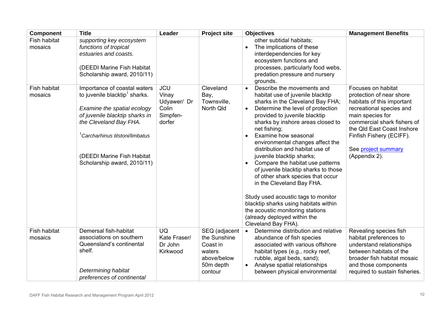| <b>Component</b>        | <b>Title</b>                                                                                                                                                                                                                                                                     | Leader                                                            | <b>Project site</b>                                                                        | <b>Objectives</b>                                                                                                                                                                                                                                                                                                                                                                                                                                                                                                                                                                                                                                                                                            | <b>Management Benefits</b>                                                                                                                                                                                                                                    |
|-------------------------|----------------------------------------------------------------------------------------------------------------------------------------------------------------------------------------------------------------------------------------------------------------------------------|-------------------------------------------------------------------|--------------------------------------------------------------------------------------------|--------------------------------------------------------------------------------------------------------------------------------------------------------------------------------------------------------------------------------------------------------------------------------------------------------------------------------------------------------------------------------------------------------------------------------------------------------------------------------------------------------------------------------------------------------------------------------------------------------------------------------------------------------------------------------------------------------------|---------------------------------------------------------------------------------------------------------------------------------------------------------------------------------------------------------------------------------------------------------------|
| Fish habitat<br>mosaics | supporting key ecosystem<br>functions of tropical<br>estuaries and coasts.<br>(DEEDI Marine Fish Habitat<br>Scholarship award, 2010/11)                                                                                                                                          |                                                                   |                                                                                            | other subtidal habitats;<br>The implications of these<br>$\bullet$<br>interdependencies for key<br>ecosystem functions and<br>processes, particularly food webs,<br>predation pressure and nursery<br>grounds.                                                                                                                                                                                                                                                                                                                                                                                                                                                                                               |                                                                                                                                                                                                                                                               |
| Fish habitat<br>mosaics | Importance of coastal waters<br>to juvenile blacktip <sup>1</sup> sharks.<br>Examine the spatial ecology<br>of juvenile blacktip sharks in<br>the Cleveland Bay FHA.<br><sup>1</sup> Carcharhinus tilstoni/limbatus<br>(DEEDI Marine Fish Habitat<br>Scholarship award, 2010/11) | <b>JCU</b><br>Vinay<br>Udyawer/ Dr<br>Colin<br>Simpfen-<br>dorfer | Cleveland<br>Bay,<br>Townsville,<br>North Qld                                              | Describe the movements and<br>$\bullet$<br>habitat use of juvenile blacktip<br>sharks in the Cleveland Bay FHA;<br>Determine the level of protection<br>$\bullet$<br>provided to juvenile blacktip<br>sharks by inshore areas closed to<br>net fishing;<br>Examine how seasonal<br>environmental changes affect the<br>distribution and habitat use of<br>juvenile blacktip sharks;<br>Compare the habitat use patterns<br>of juvenile blacktip sharks to those<br>of other shark species that occur<br>in the Cleveland Bay FHA.<br>Study used acoustic tags to monitor<br>blacktip sharks using habitats within<br>the acoustic monitoring stations<br>(already deployed within the<br>Cleveland Bay FHA). | Focuses on habitat<br>protection of near shore<br>habitats of this important<br>recreational species and<br>main species for<br>commercial shark fishers of<br>the Qld East Coast Inshore<br>Finfish Fishery (ECIFF).<br>See project summary<br>(Appendix 2). |
| Fish habitat<br>mosaics | Demersal fish-habitat<br>associations on southern<br>Queensland's continental<br>shelf.<br>Determining habitat<br>preferences of continental                                                                                                                                     | <b>UQ</b><br>Kate Fraser/<br>Dr John<br>Kirkwood                  | SEQ (adjacent<br>the Sunshine<br>Coast in<br>waters<br>above/below<br>50m depth<br>contour | Determine distribution and relative<br>$\bullet$<br>abundance of fish species<br>associated with various offshore<br>habitat types (e.g., rocky reef,<br>rubble, algal beds, sand);<br>Analyse spatial relationships<br>$\bullet$<br>between physical environmental                                                                                                                                                                                                                                                                                                                                                                                                                                          | Revealing species fish<br>habitat preferences to<br>understand relationships<br>between habitats of the<br>broader fish habitat mosaic<br>and those components<br>required to sustain fisheries.                                                              |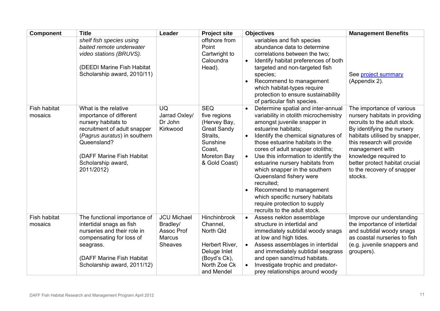| <b>Component</b>               | <b>Title</b>                                                                                                                                                                                                           | Leader                                                                   | <b>Project site</b>                                                                                                                | <b>Objectives</b>                                                                                                                                                                                                                                                                                                                                                                                                                                                                                                                               | <b>Management Benefits</b>                                                                                                                                                                                                                                                                                     |
|--------------------------------|------------------------------------------------------------------------------------------------------------------------------------------------------------------------------------------------------------------------|--------------------------------------------------------------------------|------------------------------------------------------------------------------------------------------------------------------------|-------------------------------------------------------------------------------------------------------------------------------------------------------------------------------------------------------------------------------------------------------------------------------------------------------------------------------------------------------------------------------------------------------------------------------------------------------------------------------------------------------------------------------------------------|----------------------------------------------------------------------------------------------------------------------------------------------------------------------------------------------------------------------------------------------------------------------------------------------------------------|
|                                | shelf fish species using<br>baited remote underwater<br>video stations (BRUVS).<br>(DEEDI Marine Fish Habitat<br>Scholarship award, 2010/11)                                                                           |                                                                          | offshore from<br>Point<br>Cartwright to<br>Caloundra<br>Head).                                                                     | variables and fish species<br>abundance data to determine<br>correlations between the two;<br>Identify habitat preferences of both<br>targeted and non-targeted fish<br>species;<br>Recommend to management<br>which habitat-types require<br>protection to ensure sustainability<br>of particular fish species.                                                                                                                                                                                                                                | See project summary<br>(Appendix 2).                                                                                                                                                                                                                                                                           |
| Fish habitat<br>mosaics        | What is the relative<br>importance of different<br>nursery habitats to<br>recruitment of adult snapper<br>(Pagrus auratus) in southern<br>Queensland?<br>(DAFF Marine Fish Habitat<br>Scholarship award,<br>2011/2012) | <b>UQ</b><br>Jarrad Oxley/<br>Dr John<br>Kirkwood                        | <b>SEQ</b><br>five regions<br>(Hervey Bay,<br><b>Great Sandy</b><br>Straits,<br>Sunshine<br>Coast.<br>Moreton Bay<br>& Gold Coast) | Determine spatial and inter-annual<br>variability in otolith microchemistry<br>amongst juvenile snapper in<br>estuarine habitats;<br>Identify the chemical signatures of<br>those estuarine habitats in the<br>cores of adult snapper otoliths;<br>Use this information to identify the<br>estuarine nursery habitats from<br>which snapper in the southern<br>Queensland fishery were<br>recruited;<br>Recommend to management<br>$\bullet$<br>which specific nursery habitats<br>require protection to supply<br>recruits to the adult stock. | The importance of various<br>nursery habitats in providing<br>recruits to the adult stock.<br>By identifying the nursery<br>habitats utilised by snapper,<br>this research will provide<br>management with<br>knowledge required to<br>better protect habitat crucial<br>to the recovery of snapper<br>stocks. |
| <b>Fish habitat</b><br>mosaics | The functional importance of<br>intertidal snags as fish<br>nurseries and their role in<br>compensating for loss of<br>seagrass.<br>(DAFF Marine Fish Habitat<br>Scholarship award, 2011/12)                           | <b>JCU Michael</b><br>Bradley/<br>Assoc Prof<br><b>Marcus</b><br>Sheaves | Hinchinbrook<br>Channel,<br>North Qld<br>Herbert River,<br>Deluge Inlet<br>(Boyd's Ck),<br>North Zoe Ck<br>and Mendel              | Assess nekton assemblage<br>$\bullet$<br>structure in intertidal and<br>immediately subtidal woody snags<br>at low and high tides.<br>Assess assemblages in intertidal<br>and immediately subtidal seagrass<br>and open sand/mud habitats.<br>Investigate trophic and predator-<br>prey relationships around woody                                                                                                                                                                                                                              | Improve our understanding<br>the importance of intertidal<br>and subtidal woody snags<br>as coastal nurseries to fish<br>(e.g. juvenile snappers and<br>groupers).                                                                                                                                             |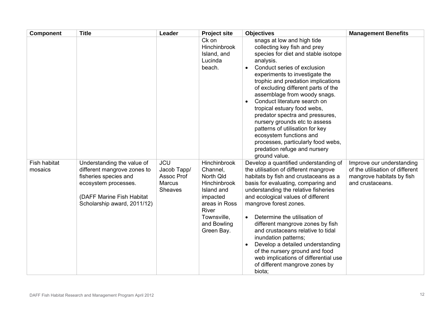| <b>Component</b>        | <b>Title</b>                                                                                                                                                           | Leader                                                              | <b>Project site</b>                                                                                                                                          | <b>Objectives</b>                                                                                                                                                                                                                                                                                                                                                                                                                                                                                                                                                                    | <b>Management Benefits</b>                                                                                    |
|-------------------------|------------------------------------------------------------------------------------------------------------------------------------------------------------------------|---------------------------------------------------------------------|--------------------------------------------------------------------------------------------------------------------------------------------------------------|--------------------------------------------------------------------------------------------------------------------------------------------------------------------------------------------------------------------------------------------------------------------------------------------------------------------------------------------------------------------------------------------------------------------------------------------------------------------------------------------------------------------------------------------------------------------------------------|---------------------------------------------------------------------------------------------------------------|
|                         |                                                                                                                                                                        |                                                                     | Ck on<br><b>Hinchinbrook</b><br>Island, and<br>Lucinda<br>beach.                                                                                             | snags at low and high tide<br>collecting key fish and prey<br>species for diet and stable isotope<br>analysis.<br>Conduct series of exclusion<br>experiments to investigate the<br>trophic and predation implications<br>of excluding different parts of the<br>assemblage from woody snags.<br>Conduct literature search on<br>tropical estuary food webs,<br>predator spectra and pressures,<br>nursery grounds etc to assess<br>patterns of utilisation for key<br>ecosystem functions and<br>processes, particularly food webs,<br>predation refuge and nursery<br>ground value. |                                                                                                               |
| Fish habitat<br>mosaics | Understanding the value of<br>different mangrove zones to<br>fisheries species and<br>ecosystem processes.<br>(DAFF Marine Fish Habitat<br>Scholarship award, 2011/12) | <b>JCU</b><br>Jacob Tapp/<br>Assoc Prof<br><b>Marcus</b><br>Sheaves | Hinchinbrook<br>Channel,<br>North Qld<br>Hinchinbrook<br>Island and<br>impacted<br>areas in Ross<br><b>River</b><br>Townsville,<br>and Bowling<br>Green Bay. | Develop a quantified understanding of<br>the utilisation of different mangrove<br>habitats by fish and crustaceans as a<br>basis for evaluating, comparing and<br>understanding the relative fisheries<br>and ecological values of different<br>mangrove forest zones.<br>Determine the utilisation of<br>different mangrove zones by fish<br>and crustaceans relative to tidal<br>inundation patterns;<br>Develop a detailed understanding<br>of the nursery ground and food<br>web implications of differential use<br>of different mangrove zones by<br>biota;                    | Improve our understanding<br>of the utilisation of different<br>mangrove habitats by fish<br>and crustaceans. |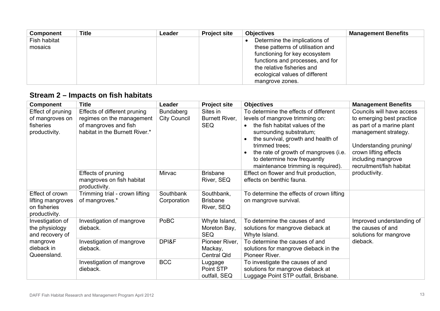| <b>Component</b> | <b>Title</b> | Leader | <b>Project site</b> | <b>Objectives</b>                 | <b>Management Benefits</b> |
|------------------|--------------|--------|---------------------|-----------------------------------|----------------------------|
| Fish habitat     |              |        |                     | Determine the implications of     |                            |
| mosaics          |              |        |                     | these patterns of utilisation and |                            |
|                  |              |        |                     | functioning for key ecosystem     |                            |
|                  |              |        |                     | functions and processes, and for  |                            |
|                  |              |        |                     | the relative fisheries and        |                            |
|                  |              |        |                     | ecological values of different    |                            |
|                  |              |        |                     | mangrove zones.                   |                            |

# **Stream 2 – Impacts on fish habitats**

<span id="page-12-0"></span>

| <b>Component</b>                                                                               | <b>Title</b>                                                                                                         | Leader                                  | <b>Project site</b>                             | <b>Objectives</b>                                                                                                                                                                                                                                                                                                        | <b>Management Benefits</b>                                                                                                                                                                                                        |
|------------------------------------------------------------------------------------------------|----------------------------------------------------------------------------------------------------------------------|-----------------------------------------|-------------------------------------------------|--------------------------------------------------------------------------------------------------------------------------------------------------------------------------------------------------------------------------------------------------------------------------------------------------------------------------|-----------------------------------------------------------------------------------------------------------------------------------------------------------------------------------------------------------------------------------|
| Effect of pruning<br>of mangroves on<br>fisheries<br>productivity.                             | Effects of different pruning<br>regimes on the management<br>of mangroves and fish<br>habitat in the Burnett River.* | <b>Bundaberg</b><br><b>City Council</b> | Sites in<br>Burnett River,<br><b>SEQ</b>        | To determine the effects of different<br>levels of mangrove trimming on:<br>the fish habitat values of the<br>$\bullet$<br>surrounding substratum;<br>the survival, growth and health of<br>trimmed trees;<br>the rate of growth of mangroves (i.e.<br>to determine how frequently<br>maintenance trimming is required). | Councils will have access<br>to emerging best practice<br>as part of a marine plant<br>management strategy.<br>Understanding pruning/<br>crown lifting effects<br>including mangrove<br>recruitment/fish habitat<br>productivity. |
|                                                                                                | Effects of pruning<br>mangroves on fish habitat<br>productivity.                                                     | Mirvac                                  | <b>Brisbane</b><br>River, SEQ                   | Effect on flower and fruit production,<br>effects on benthic fauna.                                                                                                                                                                                                                                                      |                                                                                                                                                                                                                                   |
| Effect of crown<br>lifting mangroves<br>on fisheries<br>productivity.                          | Trimming trial - crown lifting<br>of mangroves.*                                                                     | Southbank<br>Corporation                | Southbank,<br><b>Brisbane</b><br>River, SEQ     | To determine the effects of crown lifting<br>on mangrove survival.                                                                                                                                                                                                                                                       |                                                                                                                                                                                                                                   |
| Investigation of<br>the physiology<br>and recovery of<br>mangrove<br>dieback in<br>Queensland. | Investigation of mangrove<br>dieback.                                                                                | PoBC                                    | Whyte Island,<br>Moreton Bay,<br><b>SEQ</b>     | To determine the causes of and<br>solutions for mangrove dieback at<br>Whyte Island.                                                                                                                                                                                                                                     | Improved understanding of<br>the causes of and<br>solutions for mangrove<br>dieback.                                                                                                                                              |
|                                                                                                | Investigation of mangrove<br>dieback.                                                                                | DPI&F                                   | Pioneer River,<br>Mackay,<br><b>Central Qld</b> | To determine the causes of and<br>solutions for mangrove dieback in the<br>Pioneer River.                                                                                                                                                                                                                                |                                                                                                                                                                                                                                   |
|                                                                                                | Investigation of mangrove<br>dieback.                                                                                | <b>BCC</b>                              | Luggage<br>Point STP<br>outfall, SEQ            | To investigate the causes of and<br>solutions for mangrove dieback at<br>Luggage Point STP outfall, Brisbane.                                                                                                                                                                                                            |                                                                                                                                                                                                                                   |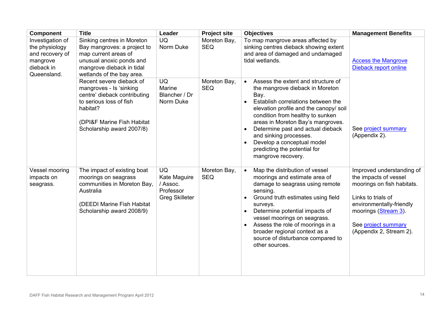| <b>Component</b>                                                                               | <b>Title</b>                                                                                                                                                                          | Leader                                                                      | <b>Project site</b>        | <b>Objectives</b>                                                                                                                                                                                                                                                                                                                                                                                                   | <b>Management Benefits</b>                                                                                                                                                                                   |
|------------------------------------------------------------------------------------------------|---------------------------------------------------------------------------------------------------------------------------------------------------------------------------------------|-----------------------------------------------------------------------------|----------------------------|---------------------------------------------------------------------------------------------------------------------------------------------------------------------------------------------------------------------------------------------------------------------------------------------------------------------------------------------------------------------------------------------------------------------|--------------------------------------------------------------------------------------------------------------------------------------------------------------------------------------------------------------|
| Investigation of<br>the physiology<br>and recovery of<br>mangrove<br>dieback in<br>Queensland. | Sinking centres in Moreton<br>Bay mangroves: a project to<br>map current areas of<br>unusual anoxic ponds and<br>mangrove dieback in tidal<br>wetlands of the bay area.               | <b>UQ</b><br>Norm Duke                                                      | Moreton Bay,<br><b>SEQ</b> | To map mangrove areas affected by<br>sinking centres dieback showing extent<br>and area of damaged and undamaged<br>tidal wetlands.                                                                                                                                                                                                                                                                                 | <b>Access the Mangrove</b><br>Dieback report online                                                                                                                                                          |
|                                                                                                | Recent severe dieback of<br>mangroves - Is 'sinking<br>centre' dieback contributing<br>to serious loss of fish<br>habitat?<br>(DPI&F Marine Fish Habitat<br>Scholarship award 2007/8) | <b>UQ</b><br>Marine<br>Blancher / Dr<br>Norm Duke                           | Moreton Bay,<br><b>SEQ</b> | Assess the extent and structure of<br>$\bullet$<br>the mangrove dieback in Moreton<br>Bay.<br>Establish correlations between the<br>elevation profile and the canopy/ soil<br>condition from healthy to sunken<br>areas in Moreton Bay's mangroves.<br>Determine past and actual dieback<br>and sinking processes.<br>Develop a conceptual model<br>$\bullet$<br>predicting the potential for<br>mangrove recovery. | See project summary<br>(Appendix 2).                                                                                                                                                                         |
| Vessel mooring<br>impacts on<br>seagrass.                                                      | The impact of existing boat<br>moorings on seagrass<br>communities in Moreton Bay,<br>Australia<br>(DEEDI Marine Fish Habitat<br>Scholarship award 2008/9)                            | <b>UQ</b><br>Kate Maguire<br>/ Assoc.<br>Professor<br><b>Greg Skilleter</b> | Moreton Bay,<br><b>SEQ</b> | Map the distribution of vessel<br>moorings and estimate area of<br>damage to seagrass using remote<br>sensing.<br>Ground truth estimates using field<br>surveys.<br>Determine potential impacts of<br>$\bullet$<br>vessel moorings on seagrass.<br>Assess the role of moorings in a<br>$\bullet$<br>broader regional context as a<br>source of disturbance compared to<br>other sources.                            | Improved understanding of<br>the impacts of vessel<br>moorings on fish habitats.<br>Links to trials of<br>environmentally-friendly<br>moorings (Stream 3).<br>See project summary<br>(Appendix 2, Stream 2). |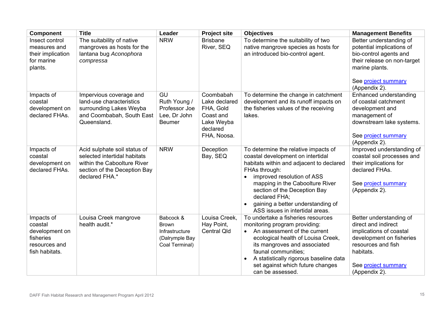| <b>Component</b>                                                                        | <b>Title</b>                                                                                                                                  | Leader                                                                          | <b>Project site</b>                                                                           | <b>Objectives</b>                                                                                                                                                                                                                                                                                                                | <b>Management Benefits</b>                                                                                                                                                       |
|-----------------------------------------------------------------------------------------|-----------------------------------------------------------------------------------------------------------------------------------------------|---------------------------------------------------------------------------------|-----------------------------------------------------------------------------------------------|----------------------------------------------------------------------------------------------------------------------------------------------------------------------------------------------------------------------------------------------------------------------------------------------------------------------------------|----------------------------------------------------------------------------------------------------------------------------------------------------------------------------------|
| Insect control<br>measures and<br>their implication<br>for marine<br>plants.            | The suitability of native<br>mangroves as hosts for the<br>lantana bug Aconophora<br>compressa                                                | <b>NRW</b>                                                                      | <b>Brisbane</b><br>River, SEQ                                                                 | To determine the suitability of two<br>native mangrove species as hosts for<br>an introduced bio-control agent.                                                                                                                                                                                                                  | Better understanding of<br>potential implications of<br>bio-control agents and<br>their release on non-target<br>marine plants.<br>See project summary<br>(Appendix 2).          |
| Impacts of<br>coastal<br>development on<br>declared FHAs.                               | Impervious coverage and<br>land-use characteristics<br>surrounding Lakes Weyba<br>and Coombabah, South East<br>Queensland.                    | <b>GU</b><br>Ruth Young /<br>Professor Joe<br>Lee, Dr John<br><b>Beumer</b>     | Coombabah<br>Lake declared<br>FHA, Gold<br>Coast and<br>Lake Weyba<br>declared<br>FHA, Noosa. | To determine the change in catchment<br>development and its runoff impacts on<br>the fisheries values of the receiving<br>lakes.                                                                                                                                                                                                 | Enhanced understanding<br>of coastal catchment<br>development and<br>management of<br>downstream lake systems.<br>See project summary<br>(Appendix 2).                           |
| Impacts of<br>coastal<br>development on<br>declared FHAs.                               | Acid sulphate soil status of<br>selected intertidal habitats<br>within the Caboolture River<br>section of the Deception Bay<br>declared FHA.* | <b>NRW</b>                                                                      | Deception<br>Bay, SEQ                                                                         | To determine the relative impacts of<br>coastal development on intertidal<br>habitats within and adjacent to declared<br>FHAs through:<br>improved resolution of ASS<br>mapping in the Caboolture River<br>section of the Deception Bay<br>declared FHA;<br>gaining a better understanding of<br>ASS issues in intertidal areas. | Improved understanding of<br>coastal soil processes and<br>their implications for<br>declared FHAs.<br>See project summary<br>(Appendix 2).                                      |
| Impacts of<br>coastal<br>development on<br>fisheries<br>resources and<br>fish habitats. | Louisa Creek mangrove<br>health audit.*                                                                                                       | Babcock &<br><b>Brown</b><br>Infrastructure<br>(Dalrymple Bay<br>Coal Terminal) | Louisa Creek,<br>Hay Point,<br><b>Central Qld</b>                                             | To undertake a fisheries resources<br>monitoring program providing:<br>An assessment of the current<br>$\bullet$<br>ecological health of Louisa Creek,<br>its mangroves and associated<br>faunal communities;<br>A statistically rigorous baseline data<br>$\bullet$<br>set against which future changes<br>can be assessed.     | Better understanding of<br>direct and indirect<br>implications of coastal<br>development on fisheries<br>resources and fish<br>habitats.<br>See project summary<br>(Appendix 2). |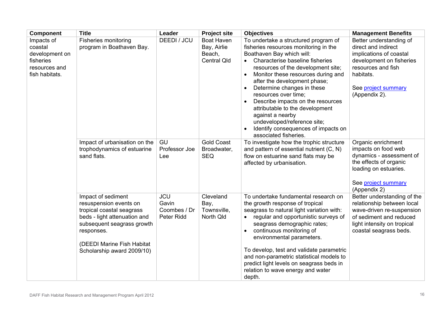| <b>Component</b>                                                                        | <b>Title</b>                                                                                                                                                                                                      | Leader                                            | <b>Project site</b>                                              | <b>Objectives</b>                                                                                                                                                                                                                                                                                                                                                                                                                                                                                                                    | <b>Management Benefits</b>                                                                                                                                                       |
|-----------------------------------------------------------------------------------------|-------------------------------------------------------------------------------------------------------------------------------------------------------------------------------------------------------------------|---------------------------------------------------|------------------------------------------------------------------|--------------------------------------------------------------------------------------------------------------------------------------------------------------------------------------------------------------------------------------------------------------------------------------------------------------------------------------------------------------------------------------------------------------------------------------------------------------------------------------------------------------------------------------|----------------------------------------------------------------------------------------------------------------------------------------------------------------------------------|
| Impacts of<br>coastal<br>development on<br>fisheries<br>resources and<br>fish habitats. | <b>Fisheries monitoring</b><br>program in Boathaven Bay.                                                                                                                                                          | DEEDI / JCU                                       | <b>Boat Haven</b><br>Bay, Airlie<br>Beach,<br><b>Central Qld</b> | To undertake a structured program of<br>fisheries resources monitoring in the<br>Boathaven Bay which will:<br>Characterise baseline fisheries<br>$\bullet$<br>resources of the development site;<br>Monitor these resources during and<br>$\bullet$<br>after the development phase;<br>Determine changes in these<br>resources over time;<br>Describe impacts on the resources<br>attributable to the development<br>against a nearby<br>undeveloped/reference site;<br>Identify consequences of impacts on<br>associated fisheries. | Better understanding of<br>direct and indirect<br>implications of coastal<br>development on fisheries<br>resources and fish<br>habitats.<br>See project summary<br>(Appendix 2). |
|                                                                                         | Impact of urbanisation on the<br>trophodynamics of estuarine<br>sand flats.                                                                                                                                       | GU<br>Professor Joe<br>Lee                        | <b>Gold Coast</b><br>Broadwater,<br><b>SEQ</b>                   | To investigate how the trophic structure<br>and pattern of essential nutrient (C, N)<br>flow on estuarine sand flats may be<br>affected by urbanisation.                                                                                                                                                                                                                                                                                                                                                                             | Organic enrichment<br>impacts on food web<br>dynamics - assessment of<br>the effects of organic<br>loading on estuaries.<br>See project summary<br>(Appendix 2)                  |
|                                                                                         | Impact of sediment<br>resuspension events on<br>tropical coastal seagrass<br>beds - light attenuation and<br>subsequent seagrass growth<br>responses.<br>(DEEDI Marine Fish Habitat<br>Scholarship award 2009/10) | <b>JCU</b><br>Gavin<br>Coombes / Dr<br>Peter Ridd | Cleveland<br>Bay,<br>Townsville,<br>North Qld                    | To undertake fundamental research on<br>the growth response of tropical<br>seagrass to natural light variation with:<br>regular and opportunistic surveys of<br>seagrass demographic rates;<br>continuous monitoring of<br>environmental parameters.<br>To develop, test and validate parametric<br>and non-parametric statistical models to<br>predict light levels on seagrass beds in<br>relation to wave energy and water<br>depth.                                                                                              | Better understanding of the<br>relationship between local<br>wave-driven re-suspension<br>of sediment and reduced<br>light intensity on tropical<br>coastal seagrass beds.       |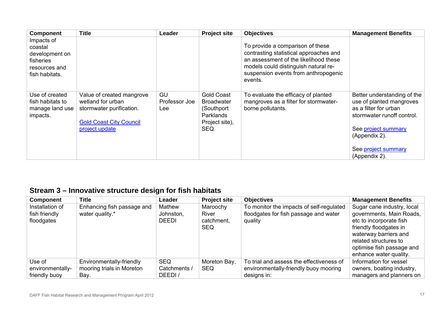| <b>Component</b>                                                                        | <b>Title</b>                                                                                                                   | Leader                            | <b>Project site</b>                                                                                       | <b>Objectives</b>                                                                                                                                                                                              | <b>Management Benefits</b>                                                                                                                                                                     |
|-----------------------------------------------------------------------------------------|--------------------------------------------------------------------------------------------------------------------------------|-----------------------------------|-----------------------------------------------------------------------------------------------------------|----------------------------------------------------------------------------------------------------------------------------------------------------------------------------------------------------------------|------------------------------------------------------------------------------------------------------------------------------------------------------------------------------------------------|
| Impacts of<br>coastal<br>development on<br>fisheries<br>resources and<br>fish habitats. |                                                                                                                                |                                   |                                                                                                           | To provide a comparison of these<br>contrasting statistical approaches and<br>an assessment of the likelihood these<br>models could distinguish natural re-<br>suspension events from anthropogenic<br>events. |                                                                                                                                                                                                |
| Use of created<br>fish habitats to<br>manage land use<br>impacts.                       | Value of created mangrove<br>wetland for urban<br>stormwater purification.<br><b>Gold Coast City Council</b><br>project update | <b>GU</b><br>Professor Joe<br>Lee | <b>Gold Coast</b><br><b>Broadwater</b><br>(Southport)<br><b>Parklands</b><br>Project site),<br><b>SEQ</b> | To evaluate the efficacy of planted<br>mangroves as a filter for stormwater-<br>borne pollutants.                                                                                                              | Better understanding of the<br>use of planted mangroves<br>as a filter for urban<br>stormwater runoff control.<br>See project summary<br>(Appendix 2).<br>See project summary<br>(Appendix 2). |

# <span id="page-16-1"></span>**Stream 3 – [Innovative structure design for fish habitats](#page-16-1)**

<span id="page-16-2"></span><span id="page-16-0"></span>

| Component        | <b>Title</b>               | Leader       | <b>Project site</b> | <b>Objectives</b>                        | <b>Management Benefits</b> |
|------------------|----------------------------|--------------|---------------------|------------------------------------------|----------------------------|
| Installation of  | Enhancing fish passage and | Mathew       | Maroochy            | To monitor the impacts of self-regulated | Sugar cane industry, local |
| fish friendly    | water quality.*            | Johnston,    | <b>River</b>        | floodgates for fish passage and water    | governments, Main Roads,   |
| floodgates       |                            | <b>DEEDI</b> | catchment,          | quality                                  | etc to incorporate fish    |
|                  |                            |              | <b>SEQ</b>          |                                          | friendly floodgates in     |
|                  |                            |              |                     |                                          | waterway barriers and      |
|                  |                            |              |                     |                                          | related structures to      |
|                  |                            |              |                     |                                          | optimise fish passage and  |
|                  |                            |              |                     |                                          | enhance water quality.     |
| Use of           | Environmentally-friendly   | <b>SEQ</b>   | Moreton Bay,        | To trial and assess the effectiveness of | Information for vessel     |
| environmentally- | mooring trials in Moreton  | Catchments / | <b>SEQ</b>          | environmentally-friendly buoy mooring    | owners, boating industry,  |
| friendly buoy    | Bay.                       | DEEDI/       |                     | designs in:                              | managers and planners on   |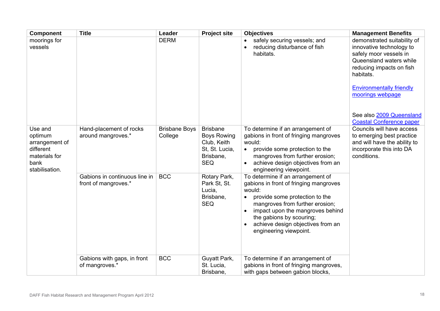| <b>Component</b>                                                                             | <b>Title</b>                                          | Leader                          | <b>Project site</b>                                                                               | <b>Objectives</b>                                                                                                                                                                                                                                                                         | <b>Management Benefits</b>                                                                                                                                                                                                               |
|----------------------------------------------------------------------------------------------|-------------------------------------------------------|---------------------------------|---------------------------------------------------------------------------------------------------|-------------------------------------------------------------------------------------------------------------------------------------------------------------------------------------------------------------------------------------------------------------------------------------------|------------------------------------------------------------------------------------------------------------------------------------------------------------------------------------------------------------------------------------------|
| moorings for<br>vessels                                                                      |                                                       | <b>DERM</b>                     |                                                                                                   | safely securing vessels; and<br>reducing disturbance of fish<br>habitats.                                                                                                                                                                                                                 | demonstrated suitability of<br>innovative technology to<br>safely moor vessels in<br>Queensland waters while<br>reducing impacts on fish<br>habitats.<br><b>Environmentally friendly</b><br>moorings webpage<br>See also 2009 Queensland |
|                                                                                              |                                                       |                                 |                                                                                                   |                                                                                                                                                                                                                                                                                           | <b>Coastal Conference paper</b>                                                                                                                                                                                                          |
| Use and<br>optimum<br>arrangement of<br>different<br>materials for<br>bank<br>stabilisation. | Hand-placement of rocks<br>around mangroves.*         | <b>Brisbane Boys</b><br>College | <b>Brisbane</b><br><b>Boys Rowing</b><br>Club, Keith<br>St. St. Lucia,<br>Brisbane,<br><b>SEQ</b> | To determine if an arrangement of<br>gabions in front of fringing mangroves<br>would:<br>provide some protection to the<br>$\bullet$<br>mangroves from further erosion;<br>achieve design objectives from an<br>engineering viewpoint.                                                    | Councils will have access<br>to emerging best practice<br>and will have the ability to<br>incorporate this into DA<br>conditions.                                                                                                        |
|                                                                                              | Gabions in continuous line in<br>front of mangroves.* | <b>BCC</b>                      | Rotary Park,<br>Park St, St.<br>Lucia,<br>Brisbane,<br><b>SEQ</b>                                 | To determine if an arrangement of<br>gabions in front of fringing mangroves<br>would:<br>provide some protection to the<br>mangroves from further erosion;<br>impact upon the mangroves behind<br>the gabions by scouring;<br>achieve design objectives from an<br>engineering viewpoint. |                                                                                                                                                                                                                                          |
|                                                                                              | Gabions with gaps, in front<br>of mangroves.*         | <b>BCC</b>                      | Guyatt Park,<br>St. Lucia,<br>Brisbane,                                                           | To determine if an arrangement of<br>gabions in front of fringing mangroves,<br>with gaps between gabion blocks,                                                                                                                                                                          |                                                                                                                                                                                                                                          |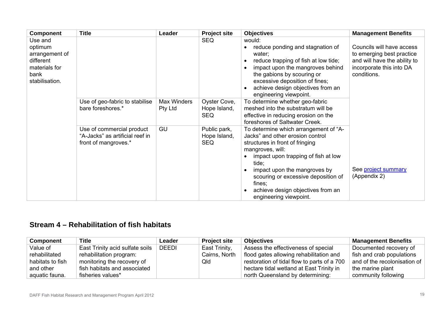| <b>Component</b>                                                                             | <b>Title</b>                                                                         | Leader                        | <b>Project site</b>                        | <b>Objectives</b>                                                                                                                                                                                                                                                                                                                | <b>Management Benefits</b>                                                                                                        |
|----------------------------------------------------------------------------------------------|--------------------------------------------------------------------------------------|-------------------------------|--------------------------------------------|----------------------------------------------------------------------------------------------------------------------------------------------------------------------------------------------------------------------------------------------------------------------------------------------------------------------------------|-----------------------------------------------------------------------------------------------------------------------------------|
| Use and<br>optimum<br>arrangement of<br>different<br>materials for<br>bank<br>stabilisation. |                                                                                      |                               | <b>SEQ</b>                                 | would:<br>reduce ponding and stagnation of<br>water:<br>reduce trapping of fish at low tide;<br>impact upon the mangroves behind<br>the gabions by scouring or<br>excessive deposition of fines;<br>achieve design objectives from an<br>engineering viewpoint.                                                                  | Councils will have access<br>to emerging best practice<br>and will have the ability to<br>incorporate this into DA<br>conditions. |
|                                                                                              | Use of geo-fabric to stabilise<br>bare foreshores.*                                  | <b>Max Winders</b><br>Pty Ltd | Oyster Cove,<br>Hope Island,<br><b>SEQ</b> | To determine whether geo-fabric<br>meshed into the substratum will be<br>effective in reducing erosion on the<br>foreshores of Saltwater Creek.                                                                                                                                                                                  |                                                                                                                                   |
|                                                                                              | Use of commercial product<br>"A-Jacks" as artificial reef in<br>front of mangroves.* | GU                            | Public park,<br>Hope Island,<br><b>SEQ</b> | To determine which arrangement of "A-<br>Jacks" and other erosion control<br>structures in front of fringing<br>mangroves, will:<br>impact upon trapping of fish at low<br>tide;<br>impact upon the mangroves by<br>scouring or excessive deposition of<br>fines;<br>achieve design objectives from an<br>engineering viewpoint. | See project summary<br>(Appendix 2)                                                                                               |

## **Stream 4 – Rehabilitation of fish habitats**

<span id="page-18-0"></span>

| <b>Component</b> | <b>Title</b>                    | Leader       | <b>Project site</b> | <b>Objectives</b>                           | <b>Management Benefits</b>   |
|------------------|---------------------------------|--------------|---------------------|---------------------------------------------|------------------------------|
| Value of         | East Trinity acid sulfate soils | <b>DEEDI</b> | East Trinity,       | Assess the effectiveness of special         | Documented recovery of       |
| rehabilitated    | rehabilitation program:         |              | Cairns, North       | flood gates allowing rehabilitation and     | fish and crab populations    |
| habitats to fish | monitoring the recovery of      |              | Qld                 | restoration of tidal flow to parts of a 700 | and of the recolonisation of |
| and other        | fish habitats and associated    |              |                     | hectare tidal wetland at East Trinity in    | the marine plant             |
| aquatic fauna.   | fisheries values*               |              |                     | north Queensland by determining:            | community following          |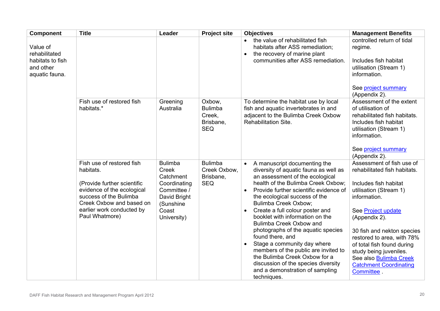| <b>Component</b>                                | <b>Title</b>                                                                                                                                                                                             | Leader                                                                                                                   | <b>Project site</b>                                           | <b>Objectives</b>                                                                                                                                                                                                                                                                                                                                                                                                                                                                                                                                                                                                                 | <b>Management Benefits</b>                                                                                                                                                                                                                                                                                                                                                                     |
|-------------------------------------------------|----------------------------------------------------------------------------------------------------------------------------------------------------------------------------------------------------------|--------------------------------------------------------------------------------------------------------------------------|---------------------------------------------------------------|-----------------------------------------------------------------------------------------------------------------------------------------------------------------------------------------------------------------------------------------------------------------------------------------------------------------------------------------------------------------------------------------------------------------------------------------------------------------------------------------------------------------------------------------------------------------------------------------------------------------------------------|------------------------------------------------------------------------------------------------------------------------------------------------------------------------------------------------------------------------------------------------------------------------------------------------------------------------------------------------------------------------------------------------|
| Value of<br>rehabilitated                       |                                                                                                                                                                                                          |                                                                                                                          |                                                               | the value of rehabilitated fish<br>$\bullet$<br>habitats after ASS remediation;<br>the recovery of marine plant<br>$\bullet$                                                                                                                                                                                                                                                                                                                                                                                                                                                                                                      | controlled return of tidal<br>regime.                                                                                                                                                                                                                                                                                                                                                          |
| habitats to fish<br>and other<br>aquatic fauna. |                                                                                                                                                                                                          |                                                                                                                          |                                                               | communities after ASS remediation.                                                                                                                                                                                                                                                                                                                                                                                                                                                                                                                                                                                                | Includes fish habitat<br>utilisation (Stream 1)<br>information.                                                                                                                                                                                                                                                                                                                                |
|                                                 |                                                                                                                                                                                                          |                                                                                                                          |                                                               |                                                                                                                                                                                                                                                                                                                                                                                                                                                                                                                                                                                                                                   | See project summary<br>(Appendix 2).                                                                                                                                                                                                                                                                                                                                                           |
|                                                 | Fish use of restored fish<br>habitats.*                                                                                                                                                                  | Greening<br>Australia                                                                                                    | Oxbow,<br><b>Bulimba</b><br>Creek,<br>Brisbane,<br><b>SEQ</b> | To determine the habitat use by local<br>fish and aquatic invertebrates in and<br>adjacent to the Bulimba Creek Oxbow<br>Rehabilitation Site.                                                                                                                                                                                                                                                                                                                                                                                                                                                                                     | Assessment of the extent<br>of utilisation of<br>rehabilitated fish habitats.<br>Includes fish habitat<br>utilisation (Stream 1)<br>information.<br>See project summary                                                                                                                                                                                                                        |
|                                                 | Fish use of restored fish<br>habitats.<br>(Provide further scientific<br>evidence of the ecological<br>success of the Bulimba<br>Creek Oxbow and based on<br>earlier work conducted by<br>Paul Whatmore) | <b>Bulimba</b><br>Creek<br>Catchment<br>Coordinating<br>Committee /<br>David Bright<br>(Sunshine<br>Coast<br>University) | <b>Bulimba</b><br>Creek Oxbow,<br>Brisbane,<br><b>SEQ</b>     | A manuscript documenting the<br>$\bullet$<br>diversity of aquatic fauna as well as<br>an assessment of the ecological<br>health of the Bulimba Creek Oxbow;<br>Provide further scientific evidence of<br>the ecological success of the<br><b>Bulimba Creek Oxbow;</b><br>Create a full colour poster and<br>booklet with information on the<br>Bulimba Creek Oxbow and<br>photographs of the aquatic species<br>found there, and<br>Stage a community day where<br>members of the public are invited to<br>the Bulimba Creek Oxbow for a<br>discussion of the species diversity<br>and a demonstration of sampling<br>techniques. | (Appendix 2).<br>Assessment of fish use of<br>rehabilitated fish habitats.<br>Includes fish habitat<br>utilisation (Stream 1)<br>information.<br>See Project update<br>(Appendix 2).<br>30 fish and nekton species<br>restored to area, with 78%<br>of total fish found during<br>study being juveniles.<br>See also <b>Bulimba Creek</b><br><b>Catchment Coordinating</b><br><b>Committee</b> |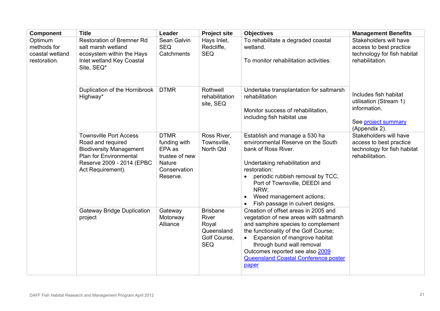| <b>Component</b>                                          | <b>Title</b>                                                                                                                                                            | Leader                                                                                        | <b>Project site</b>                                                                  | <b>Objectives</b>                                                                                                                                                                                                                                                                                                      | <b>Management Benefits</b>                                                                              |
|-----------------------------------------------------------|-------------------------------------------------------------------------------------------------------------------------------------------------------------------------|-----------------------------------------------------------------------------------------------|--------------------------------------------------------------------------------------|------------------------------------------------------------------------------------------------------------------------------------------------------------------------------------------------------------------------------------------------------------------------------------------------------------------------|---------------------------------------------------------------------------------------------------------|
| Optimum<br>methods for<br>coastal wetland<br>restoration. | <b>Restoration of Bremner Rd</b><br>salt marsh wetland<br>ecosystem within the Hays<br>Inlet wetland Key Coastal<br>Site, SEQ*                                          | Sean Galvin<br><b>SEQ</b><br>Catchments                                                       | Hays Inlet,<br>Redcliffe,<br><b>SEQ</b>                                              | To rehabilitate a degraded coastal<br>wetland.<br>To monitor rehabilitation activities.                                                                                                                                                                                                                                | Stakeholders will have<br>access to best practice<br>technology for fish habitat<br>rehabilitation.     |
|                                                           | Duplication of the Hornibrook<br>Highway*                                                                                                                               | <b>DTMR</b>                                                                                   | Rothwell<br>rehabilitation<br>site, SEQ                                              | Undertake transplantation for saltmarsh<br>rehabilitation<br>Monitor success of rehabilitation,<br>including fish habitat use                                                                                                                                                                                          | Includes fish habitat<br>utilisation (Stream 1)<br>information.<br>See project summary<br>(Appendix 2). |
|                                                           | <b>Townsville Port Access</b><br>Road and required<br><b>Biodiversity Management</b><br><b>Plan for Environmental</b><br>Reserve 2009 - 2014 (EPBC<br>Act Requirement). | <b>DTMR</b><br>funding with<br>EPA as<br>trustee of new<br>Nature<br>Conservation<br>Reserve. | Ross River,<br>Townsville,<br>North Qld                                              | Establish and manage a 530 ha<br>environmental Reserve on the South<br>bank of Ross River.<br>Undertaking rehabilitation and<br>restoration:<br>periodic rubbish removal by TCC,<br>Port of Townsville, DEEDI and<br>NRW:<br>Weed management actions;<br>Fish passage in culvert designs.                              | Stakeholders will have<br>access to best practice<br>technology for fish habitat<br>rehabilitation.     |
|                                                           | <b>Gateway Bridge Duplication</b><br>project                                                                                                                            | Gateway<br>Motorway<br>Alliance                                                               | <b>Brisbane</b><br><b>River</b><br>Royal<br>Queensland<br>Golf Course,<br><b>SEQ</b> | Creation of offset areas in 2005 and<br>vegetation of new areas with saltmarsh<br>and samphire species to complement<br>the functionality of the Golf Course;<br>Expansion of mangrove habitat<br>through bund wall removal<br>Outcomes reported see also 2009<br><b>Queensland Coastal Conference poster</b><br>paper |                                                                                                         |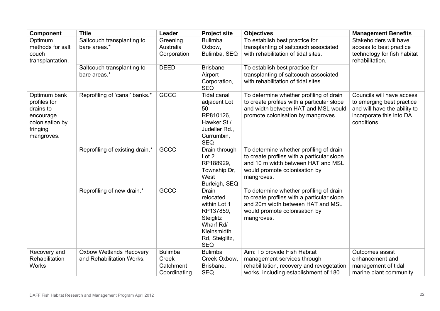<span id="page-21-0"></span>

| <b>Component</b>                                                                                    | <b>Title</b>                                                | Leader                                               | <b>Project site</b>                                                                                                      | <b>Objectives</b>                                                                                                                                                          | <b>Management Benefits</b>                                                                                                        |
|-----------------------------------------------------------------------------------------------------|-------------------------------------------------------------|------------------------------------------------------|--------------------------------------------------------------------------------------------------------------------------|----------------------------------------------------------------------------------------------------------------------------------------------------------------------------|-----------------------------------------------------------------------------------------------------------------------------------|
| Optimum<br>methods for salt<br>couch<br>transplantation.                                            | Saltcouch transplanting to<br>bare areas.*                  | Greening<br>Australia<br>Corporation                 | <b>Bulimba</b><br>Oxbow.<br>Bulimba, SEQ                                                                                 | To establish best practice for<br>transplanting of saltcouch associated<br>with rehabilitation of tidal sites.                                                             | Stakeholders will have<br>access to best practice<br>technology for fish habitat<br>rehabilitation.                               |
|                                                                                                     | Saltcouch transplanting to<br>bare areas.*                  | <b>DEEDI</b>                                         | <b>Brisbane</b><br>Airport<br>Corporation,<br><b>SEQ</b>                                                                 | To establish best practice for<br>transplanting of saltcouch associated<br>with rehabilitation of tidal sites.                                                             |                                                                                                                                   |
| Optimum bank<br>profiles for<br>drains to<br>encourage<br>colonisation by<br>fringing<br>mangroves. | Reprofiling of 'canal' banks.*                              | GCCC                                                 | <b>Tidal canal</b><br>adjacent Lot<br>50<br>RP810126,<br>Hawker St /<br>Judeller Rd.,<br>Currumbin,<br><b>SEQ</b>        | To determine whether profiling of drain<br>to create profiles with a particular slope<br>and width between HAT and MSL would<br>promote colonisation by mangroves.         | Councils will have access<br>to emerging best practice<br>and will have the ability to<br>incorporate this into DA<br>conditions. |
|                                                                                                     | Reprofiling of existing drain.*                             | GCCC                                                 | Drain through<br>Lot 2<br>RP188929,<br>Township Dr,<br>West<br>Burleigh, SEQ                                             | To determine whether profiling of drain<br>to create profiles with a particular slope<br>and 10 m width between HAT and MSL<br>would promote colonisation by<br>mangroves. |                                                                                                                                   |
|                                                                                                     | Reprofiling of new drain.*                                  | GCCC                                                 | Drain<br>relocated<br>within Lot 1<br>RP137859,<br>Steiglitz<br>Wharf Rd/<br>Kleinsmidth<br>Rd, Steiglitz,<br><b>SEQ</b> | To determine whether profiling of drain<br>to create profiles with a particular slope<br>and 20m width between HAT and MSL<br>would promote colonisation by<br>mangroves.  |                                                                                                                                   |
| Recovery and<br>Rehabilitation<br><b>Works</b>                                                      | <b>Oxbow Wetlands Recovery</b><br>and Rehabilitation Works. | <b>Bulimba</b><br>Creek<br>Catchment<br>Coordinating | <b>Bulimba</b><br>Creek Oxbow,<br>Brisbane,<br><b>SEQ</b>                                                                | Aim: To provide Fish Habitat<br>management services through<br>rehabilitation, recovery and revegetation<br>works, including establishment of 180                          | Outcomes assist<br>enhancement and<br>management of tidal<br>marine plant community                                               |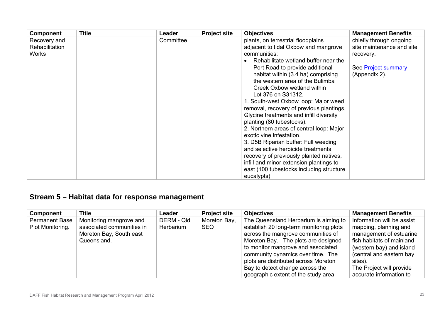| <b>Component</b>                        | <b>Title</b> | Leader    | <b>Project site</b> | <b>Objectives</b>                                                                                                                                                                                                                                                                                                                                                                                                                                                                                                                                                                                                                                                                                                                                                      | <b>Management Benefits</b>                                                                                |
|-----------------------------------------|--------------|-----------|---------------------|------------------------------------------------------------------------------------------------------------------------------------------------------------------------------------------------------------------------------------------------------------------------------------------------------------------------------------------------------------------------------------------------------------------------------------------------------------------------------------------------------------------------------------------------------------------------------------------------------------------------------------------------------------------------------------------------------------------------------------------------------------------------|-----------------------------------------------------------------------------------------------------------|
| Recovery and<br>Rehabilitation<br>Works |              | Committee |                     | plants, on terrestrial floodplains<br>adjacent to tidal Oxbow and mangrove<br>communities:<br>Rehabilitate wetland buffer near the<br>Port Road to provide additional<br>habitat within (3.4 ha) comprising<br>the western area of the Bulimba<br>Creek Oxbow wetland within<br>Lot 376 on S31312.<br>1. South-west Oxbow loop: Major weed<br>removal, recovery of previous plantings,<br>Glycine treatments and infill diversity<br>planting (80 tubestocks).<br>2. Northern areas of central loop: Major<br>exotic vine infestation.<br>3. D5B Riparian buffer: Full weeding<br>and selective herbicide treatments,<br>recovery of previously planted natives,<br>infill and minor extension plantings to<br>east (100 tubestocks including structure<br>eucalypts). | chiefly through ongoing<br>site maintenance and site<br>recovery.<br>See Project summary<br>(Appendix 2). |

# **Stream 5 – Habitat data for response management**

| <b>Component</b>                          | <b>Title</b>                                         | Leader                  | <b>Project site</b>        | <b>Objectives</b>                                                                | <b>Management Benefits</b>                          |
|-------------------------------------------|------------------------------------------------------|-------------------------|----------------------------|----------------------------------------------------------------------------------|-----------------------------------------------------|
| <b>Permanent Base</b><br>Plot Monitoring. | Monitoring mangrove and<br>associated communities in | DERM - Qld<br>Herbarium | Moreton Bay,<br><b>SEQ</b> | The Queensland Herbarium is aiming to<br>establish 20 long-term monitoring plots | Information will be assist<br>mapping, planning and |
|                                           | Moreton Bay, South east                              |                         |                            | across the mangrove communities of                                               | management of estuarine                             |
|                                           | Queensland.                                          |                         |                            | Moreton Bay. The plots are designed                                              | fish habitats of mainland                           |
|                                           |                                                      |                         |                            | to monitor mangrove and associated                                               | (western bay) and island                            |
|                                           |                                                      |                         |                            | community dynamics over time. The                                                | (central and eastern bay                            |
|                                           |                                                      |                         |                            | plots are distributed across Moreton                                             | sites).                                             |
|                                           |                                                      |                         |                            | Bay to detect change across the                                                  | The Project will provide                            |
|                                           |                                                      |                         |                            | geographic extent of the study area.                                             | accurate information to                             |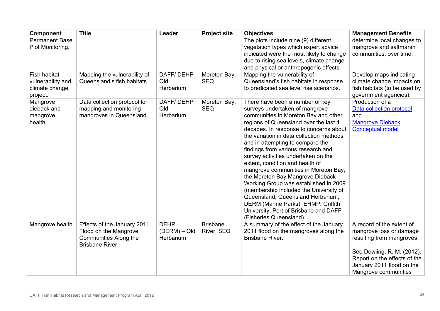| <b>Component</b>                                                | <b>Title</b>                                                                                           | Leader                                   | <b>Project site</b>           | <b>Objectives</b>                                                                                                                                                                                                                                                                                                                                                                                                                                                                                                                                                                                                                                                                                           | <b>Management Benefits</b>                                                                                                                                                                           |
|-----------------------------------------------------------------|--------------------------------------------------------------------------------------------------------|------------------------------------------|-------------------------------|-------------------------------------------------------------------------------------------------------------------------------------------------------------------------------------------------------------------------------------------------------------------------------------------------------------------------------------------------------------------------------------------------------------------------------------------------------------------------------------------------------------------------------------------------------------------------------------------------------------------------------------------------------------------------------------------------------------|------------------------------------------------------------------------------------------------------------------------------------------------------------------------------------------------------|
| <b>Permanent Base</b><br>Plot Monitoring.                       |                                                                                                        |                                          |                               | The plots include nine (9) different<br>vegetation types which expert advice<br>indicated were the most likely to change<br>due to rising sea levels, climate change<br>and physical or anthropogenic effects.                                                                                                                                                                                                                                                                                                                                                                                                                                                                                              | determine local changes to<br>mangrove and saltmarsh<br>communities, over time.                                                                                                                      |
| Fish habitat<br>vulnerability and<br>climate change<br>project. | Mapping the vulnerability of<br>Queensland's fish habitats.                                            | DAFF/DEHP<br>Qld<br>Herbarium            | Moreton Bay,<br><b>SEQ</b>    | Mapping the vulnerability of<br>Queensland's fish habitats in response<br>to predicated sea level rise scenarios.                                                                                                                                                                                                                                                                                                                                                                                                                                                                                                                                                                                           | Develop maps indicating<br>climate change impacts on<br>fish habitats (to be used by<br>government agencies).                                                                                        |
| Mangrove<br>dieback and<br>mangrove<br>health.                  | Data collection protocol for<br>mapping and monitoring<br>mangroves in Queensland.                     | DAFF/DEHP<br>Qld<br>Herbarium            | Moreton Bay,<br><b>SEQ</b>    | There have been a number of key<br>surveys undertaken of mangrove<br>communities in Moreton Bay and other<br>regions of Queensland over the last 4<br>decades. In response to concerns about<br>the variation in data collection methods<br>and in attempting to compare the<br>findings from various research and<br>survey activities undertaken on the<br>extent, condition and health of<br>mangrove communities in Moreton Bay,<br>the Moreton Bay Mangrove Dieback<br>Working Group was established in 2009<br>(membership included the University of<br>Queensland; Queensland Herbarium;<br>DERM (Marine Parks); EHMP; Griffith<br>University; Port of Brisbane and DAFF<br>(Fisheries Queensland). | Production of a<br>Data collection protocol<br>and<br><b>Mangrove Dieback</b><br><b>Conceptual model</b>                                                                                             |
| Mangrove health                                                 | Effects of the January 2011<br>Flood on the Mangrove<br>Communities Along the<br><b>Brisbane River</b> | <b>DEHP</b><br>(DERM) – QId<br>Herbarium | <b>Brisbane</b><br>River, SEQ | A summary of the effect of the January<br>2011 flood on the mangroves along the<br>Brisbane River.                                                                                                                                                                                                                                                                                                                                                                                                                                                                                                                                                                                                          | A record of the extent of<br>mangrove loss or damage<br>resulting from mangroves.<br>See Dowling, R. M. (2012).<br>Report on the effects of the<br>January 2011 flood on the<br>Mangrove communities |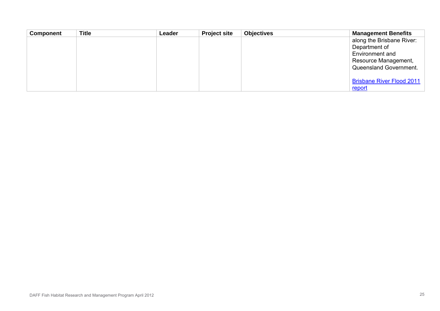| <b>Component</b> | <b>Title</b> | Leader | <b>Project site</b> | <b>Objectives</b> | <b>Management Benefits</b>       |
|------------------|--------------|--------|---------------------|-------------------|----------------------------------|
|                  |              |        |                     |                   | along the Brisbane River:        |
|                  |              |        |                     |                   | Department of                    |
|                  |              |        |                     |                   | Environment and                  |
|                  |              |        |                     |                   | Resource Management,             |
|                  |              |        |                     |                   | Queensland Government.           |
|                  |              |        |                     |                   | <b>Brisbane River Flood 2011</b> |
|                  |              |        |                     |                   | <u>report</u>                    |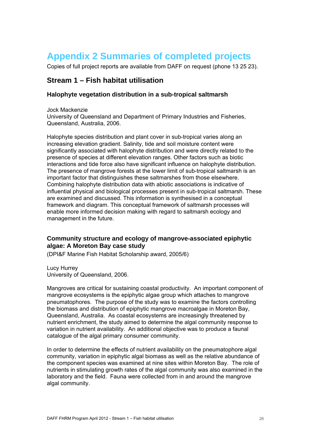# <span id="page-25-5"></span><span id="page-25-4"></span><span id="page-25-0"></span>**Appendix 2 Summaries of completed projects**

Copies of full project reports are available from DAFF on request (phone 13 25 23).

## <span id="page-25-1"></span>**Stream 1 – Fish habitat utilisation**

## <span id="page-25-2"></span>**Halophyte vegetation distribution in a sub-tropical saltmarsh**

Jock Mackenzie University of Queensland and Department of Primary Industries and Fisheries, Queensland, Australia, 2006.

Halophyte species distribution and plant cover in sub-tropical varies along an increasing elevation gradient. Salinity, tide and soil moisture content were significantly associated with halophyte distribution and were directly related to the presence of species at different elevation ranges. Other factors such as biotic interactions and tide force also have significant influence on halophyte distribution. The presence of mangrove forests at the lower limit of sub-tropical saltmarsh is an important factor that distinguishes these saltmarshes from those elsewhere. Combining halophyte distribution data with abiotic associations is indicative of influential physical and biological processes present in sub-tropical saltmarsh. These are examined and discussed. This information is synthesised in a conceptual framework and diagram. This conceptual framework of saltmarsh processes will enable more informed decision making with regard to saltmarsh ecology and management in the future.

## <span id="page-25-3"></span>**Community structure and ecology of mangrove-associated epiphytic algae: A Moreton Bay case study**

(DPI&F Marine Fish Habitat Scholarship award, 2005/6)

Lucy Hurrey University of Queensland, 2006.

Mangroves are critical for sustaining coastal productivity. An important component of mangrove ecosystems is the epiphytic algae group which attaches to mangrove pneumatophores. The purpose of the study was to examine the factors controlling the biomass and distribution of epiphytic mangrove macroalgae in Moreton Bay, Queensland, Australia. As coastal ecosystems are increasingly threatened by nutrient enrichment, the study aimed to determine the algal community response to variation in nutrient availability. An additional objective was to produce a faunal catalogue of the algal primary consumer community.

In order to determine the effects of nutrient availability on the pneumatophore algal community, variation in epiphytic algal biomass as well as the relative abundance of the component species was examined at nine sites within Moreton Bay. The role of nutrients in stimulating growth rates of the algal community was also examined in the laboratory and the field. Fauna were collected from in and around the mangrove algal community.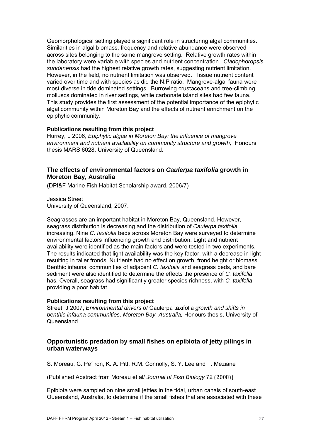<span id="page-26-3"></span><span id="page-26-2"></span>Geomorphological setting played a significant role in structuring algal communities. Similarities in algal biomass, frequency and relative abundance were observed across sites belonging to the same mangrove setting. Relative growth rates within the laboratory were variable with species and nutrient concentration. *Cladophoropsis sundanensis* had the highest relative growth rates, suggesting nutrient limitation. However, in the field, no nutrient limitation was observed. Tissue nutrient content varied over time and with species as did the N:P ratio. Mangrove-algal fauna were most diverse in tide dominated settings. Burrowing crustaceans and tree-climbing molluscs dominated in river settings, while carbonate island sites had few fauna. This study provides the first assessment of the potential importance of the epiphytic algal community within Moreton Bay and the effects of nutrient enrichment on the epiphytic community.

#### **Publications resulting from this project**

Hurrey, L 2006, *Epiphytic algae in Moreton Bay: the influence of mangrove environment and nutrient availability on community structure and growth,* Honours thesis MARS 6028, University of Queensland.

## <span id="page-26-0"></span>**The effects of environmental factors on** *Caulerpa taxifolia* **growth in Moreton Bay, Australia**

(DPI&F Marine Fish Habitat Scholarship award, 2006/7)

Jessica Street University of Queensland, 2007.

Seagrasses are an important habitat in Moreton Bay, Queensland. However, seagrass distribution is decreasing and the distribution of *Caulerpa taxifolia* increasing. Nine *C. taxifolia* beds across Moreton Bay were surveyed to determine environmental factors influencing growth and distribution. Light and nutrient availability were identified as the main factors and were tested in two experiments. The results indicated that light availability was the key factor, with a decrease in light resulting in taller fronds. Nutrients had no effect on growth, frond height or biomass. Benthic infaunal communities of adjacent *C. taxifolia* and seagrass beds, and bare sediment were also identified to determine the effects the presence of *C. taxifolia* has. Overall, seagrass had significantly greater species richness, with *C. taxifolia* providing a poor habitat.

#### **Publications resulting from this project**

Street, J 2007, *Environmental drivers of* Caulerpa taxifolia *growth and shifts in benthic infauna communities, Moreton Bay, Australia,* Honours thesis, University of Queensland.

## <span id="page-26-1"></span>**Opportunistic predation by small fishes on epibiota of jetty pilings in urban waterways**

S. Moreau, C. Pe´ ron, K. A. Pitt, R.M. Connolly, S. Y. Lee and T. Meziane

(Published Abstract from Moreau et al/ *Journal of Fish Biology* 72 (2008))

Epibiota were sampled on nine small jetties in the tidal, urban canals of south-east Queensland, Australia, to determine if the small fishes that are associated with these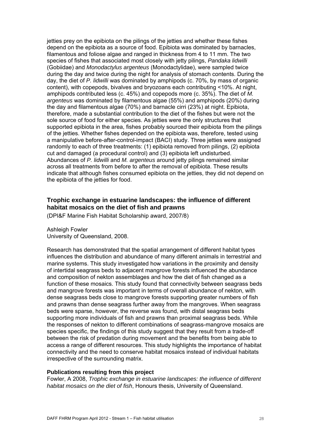<span id="page-27-1"></span>jetties prey on the epibiota on the pilings of the jetties and whether these fishes depend on the epibiota as a source of food. Epibiota was dominated by barnacles, filamentous and foliose algae and ranged in thickness from 4 to 11 mm. The two species of fishes that associated most closely with jetty pilings, *Pandaka lidwilli* (Gobiidae) and *Monodactylus argenteus* (Monodactylidae), were sampled twice during the day and twice during the night for analysis of stomach contents. During the day, the diet of *P. lidwilli* was dominated by amphipods (c. 70%, by mass of organic content), with copepods, bivalves and bryozoans each contributing <10%. At night, amphipods contributed less (c. 45%) and copepods more (c. 35%). The diet of *M. argenteus* was dominated by filamentous algae (55%) and amphipods (20%) during the day and filamentous algae (70%) and barnacle cirri (23%) at night. Epibiota, therefore, made a substantial contribution to the diet of the fishes but were not the sole source of food for either species. As jetties were the only structures that supported epibiota in the area, fishes probably sourced their epibiota from the pilings of the jetties. Whether fishes depended on the epibiota was, therefore, tested using a manipulative before-after-control-impact (BACI) study. Three jetties were assigned randomly to each of three treatments: (1) epibiota removed from pilings, (2) epibiota cut and damaged (a procedural control) and (3) epibiota left undisturbed. Abundances of *P. lidwilli* and *M. argenteus* around jetty pilings remained similar across all treatments from before to after the removal of epibiota. These results indicate that although fishes consumed epibiota on the jetties, they did not depend on the epibiota of the jetties for food.

## <span id="page-27-0"></span>**Trophic exchange in estuarine landscapes: the influence of different habitat mosaics on the diet of fish and prawns**

(DPI&F Marine Fish Habitat Scholarship award, 2007/8)

Ashleigh Fowler University of Queensland, 2008.

Research has demonstrated that the spatial arrangement of different habitat types influences the distribution and abundance of many different animals in terrestrial and marine systems. This study investigated how variations in the proximity and density of intertidal seagrass beds to adjacent mangrove forests influenced the abundance and composition of nekton assemblages and how the diet of fish changed as a function of these mosaics. This study found that connectivity between seagrass beds and mangrove forests was important in terms of overall abundance of nekton, with dense seagrass beds close to mangrove forests supporting greater numbers of fish and prawns than dense seagrass further away from the mangroves. When seagrass beds were sparse, however, the reverse was found, with distal seagrass beds supporting more individuals of fish and prawns than proximal seagrass beds. While the responses of nekton to different combinations of seagrass-mangrove mosaics are species specific, the findings of this study suggest that they result from a trade-off between the risk of predation during movement and the benefits from being able to access a range of different resources. This study highlights the importance of habitat connectivity and the need to conserve habitat mosaics instead of individual habitats irrespective of the surrounding matrix.

#### **Publications resulting from this project**

Fowler, A 2008, *Trophic exchange in estuarine landscapes: the influence of different habitat mosaics on the diet of fish*, Honours thesis, University of Queensland.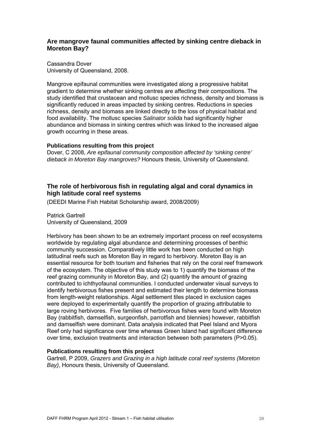## <span id="page-28-3"></span><span id="page-28-2"></span><span id="page-28-0"></span>**Are mangrove faunal communities affected by sinking centre dieback in Moreton Bay?**

Cassandra Dover University of Queensland, 2008.

Mangrove epifaunal communities were investigated along a progressive habitat gradient to determine whether sinking centres are affecting their compositions. The study identified that crustacean and mollusc species richness, density and biomass is significantly reduced in areas impacted by sinking centres. Reductions in species richness, density and biomass are linked directly to the loss of physical habitat and food availability. The mollusc species *Salinator solida* had significantly higher abundance and biomass in sinking centres which was linked to the increased algae growth occurring in these areas.

#### **Publications resulting from this project**

Dover, C 2008, *Are epifaunal community composition affected by 'sinking centre' dieback in Moreton Bay mangroves?* Honours thesis, University of Queensland.

## <span id="page-28-1"></span>**The role of herbivorous fish in regulating algal and coral dynamics in high latitude coral reef systems**

(DEEDI Marine Fish Habitat Scholarship award, 2008/2009)

Patrick Gartrell University of Queensland, 2009

Herbivory has been shown to be an extremely important process on reef ecosystems worldwide by regulating algal abundance and determining processes of benthic community succession. Comparatively little work has been conducted on high latitudinal reefs such as Moreton Bay in regard to herbivory. Moreton Bay is an essential resource for both tourism and fisheries that rely on the coral reef framework of the ecosystem. The objective of this study was to 1) quantify the biomass of the reef grazing community in Moreton Bay, and (2) quantify the amount of grazing contributed to ichthyofaunal communities. I conducted underwater visual surveys to identify herbivorous fishes present and estimated their length to determine biomass from length-weight relationships. Algal settlement tiles placed in exclusion cages were deployed to experimentally quantify the proportion of grazing attributable to large roving herbivores. Five families of herbivorous fishes were found with Moreton Bay (rabbitfish, damselfish, surgeonfish, parrotfish and blennies) however, rabbitfish and damselfish were dominant. Data analysis indicated that Peel Island and Myora Reef only had significance over time whereas Green Island had significant difference over time, exclusion treatments and interaction between both parameters (P>0.05).

## **Publications resulting from this project**

Gartrell, P 2009, *Grazers and Grazing in a high latitude coral reef systems (Moreton Bay)*, Honours thesis, University of Queensland.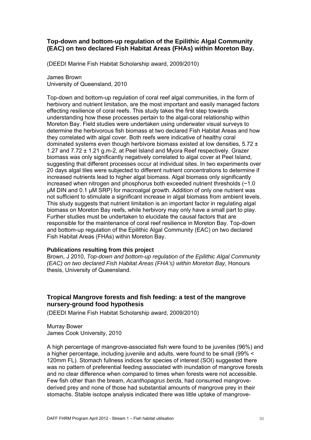## <span id="page-29-3"></span><span id="page-29-2"></span><span id="page-29-0"></span>**Top-down and bottom-up regulation of the Epilithic Algal Community (EAC) on two declared Fish Habitat Areas (FHAs) within Moreton Bay.**

(DEEDI Marine Fish Habitat Scholarship award, 2009/2010)

James Brown University of Queensland, 2010

Top-down and bottom-up regulation of coral reef algal communities, in the form of herbivory and nutrient limitation, are the most important and easily managed factors effecting resilience of coral reefs. This study takes the first step towards understanding how these processes pertain to the algal-coral relationship within Moreton Bay. Field studies were undertaken using underwater visual surveys to determine the herbivorous fish biomass at two declared Fish Habitat Areas and how they correlated with algal cover. Both reefs were indicative of healthy coral dominated systems even though herbivore biomass existed at low densities,  $5.72 \pm 1$ 1.27 and 7.72 ± 1.21 g.m-2, at Peel Island and Myora Reef respectively. Grazer biomass was only significantly negatively correlated to algal cover at Peel Island, suggesting that different processes occur at individual sites. In two experiments over 20 days algal tiles were subjected to different nutrient concentrations to determine if increased nutrients lead to higher algal biomass. Algal biomass only significantly increased when nitrogen and phosphorus both exceeded nutrient thresholds (~1.0 μM DIN and 0.1 μM SRP) for macroalgal growth. Addition of only one nutrient was not sufficient to stimulate a significant increase in algal biomass from ambient levels. This study suggests that nutrient limitation is an important factor in regulating algal biomass on Moreton Bay reefs, while herbivory may only have a small part to play. Further studies must be undertaken to elucidate the causal factors that are responsible for the maintenance of coral reef resilience in Moreton Bay. Top-down and bottom-up regulation of the Epilithic Algal Community (EAC) on two declared Fish Habitat Areas (FHAs) within Moreton Bay.

#### **Publications resulting from this project**

Brown, J 2010, *Top-down and bottom-up regulation of the Epilithic Algal Community (EAC) on two declared Fish Habitat Areas (FHA's) within Moreton Bay,* Honours thesis, University of Queensland.

## <span id="page-29-1"></span>**Tropical Mangrove forests and fish feeding: a test of the mangrove nursery-ground food hypothesis**

(DEEDI Marine Fish Habitat Scholarship award, 2009/2010)

Murray Bower James Cook University, 2010

A high percentage of mangrove-associated fish were found to be juveniles (96%) and a higher percentage, including juvenile and adults, were found to be small (99% < 120mm FL). Stomach fullness indices for species of interest (SOI) suggested there was no pattern of preferential feeding associated with inundation of mangrove forests and no clear difference when compared to times when forests were not accessible. Few fish other than the bream, *Acanthopagrus berda*, had consumed mangrovederived prey and none of those had substantial amounts of mangrove prey in their stomachs. Stable isotope analysis indicated there was little uptake of mangrove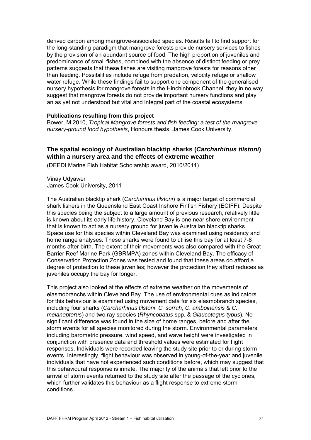<span id="page-30-1"></span>derived carbon among mangrove-associated species. Results fail to find support for the long-standing paradigm that mangrove forests provide nursery services to fishes by the provision of an abundant source of food. The high proportion of juveniles and predominance of small fishes, combined with the absence of distinct feeding or prey patterns suggests that these fishes are visiting mangrove forests for reasons other than feeding. Possibilities include refuge from predation, velocity refuge or shallow water refuge. While these findings fail to support one component of the generalised nursery hypothesis for mangrove forests in the Hinchinbrook Channel, they in no way suggest that mangrove forests do not provide important nursery functions and play an as yet not understood but vital and integral part of the coastal ecosystems.

#### **Publications resulting from this project**

Bower, M 2010, *Tropical Mangrove forests and fish feeding: a test of the mangrove nursery-ground food hypothesis*, Honours thesis, James Cook University.

## <span id="page-30-0"></span>**The spatial ecology of Australian blacktip sharks (***Carcharhinus tilstoni***) within a nursery area and the effects of extreme weather**

(DEEDI Marine Fish Habitat Scholarship award, 2010/2011)

Vinay Udyawer James Cook University, 2011

The Australian blacktip shark (*Carcharinus tilstoni*) is a major target of commercial shark fishers in the Queensland East Coast Inshore Finfish Fishery (ECIFF). Despite this species being the subject to a large amount of previous research, relatively little is known about its early life history. Cleveland Bay is one near shore environment that is known to act as a nursery ground for juvenile Australian blacktip sharks. Space use for this species within Cleveland Bay was examined using residency and home range analyses. These sharks were found to utilise this bay for at least 7-8 months after birth. The extent of their movements was also compared with the Great Barrier Reef Marine Park (GBRMPA) zones within Cleveland Bay. The efficacy of Conservation Protection Zones was tested and found that these areas do afford a degree of protection to these juveniles; however the protection they afford reduces as juveniles occupy the bay for longer.

This project also looked at the effects of extreme weather on the movements of elasmobranchs within Cleveland Bay. The use of environmental cues as indicators for this behaviour is examined using movement data for six elasmobranch species, including four sharks (*Carcharhinus tilstoni*, *C. sorrah*, *C. amboinensis* & *C. melanopterus*) and two ray species (*Rhyncobatus* spp. & *Glaucotegus typus*). No significant difference was found in the size of home ranges, before and after the storm events for all species monitored during the storm. Environmental parameters including barometric pressure, wind speed, and wave height were investigated in conjunction with presence data and threshold values were estimated for flight responses. Individuals were recorded leaving the study site prior to or during storm events. Interestingly, flight behaviour was observed in young-of-the-year and juvenile individuals that have not experienced such conditions before, which may suggest that this behavioural response is innate. The majority of the animals that left prior to the arrival of storm events returned to the study site after the passage of the cyclones, which further validates this behaviour as a flight response to extreme storm conditions.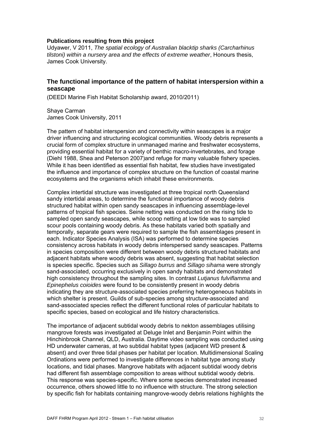<span id="page-31-1"></span>Udyawer, V 2011, *The spatial ecology of Australian blacktip sharks (Carcharhinus tilstoni) within a nursery area and the effects of extreme weather*, Honours thesis, James Cook University.

### <span id="page-31-0"></span>**The functional importance of the pattern of habitat interspersion within a seascape**

(DEEDI Marine Fish Habitat Scholarship award, 2010/2011)

Shaye Carman James Cook University, 2011

The pattern of habitat interspersion and connectivity within seascapes is a major driver influencing and structuring ecological communities. Woody debris represents a crucial form of complex structure in unmanaged marine and freshwater ecosystems, providing essential habitat for a variety of benthic macro-invertebrates, and forage (Diehl 1988, Shea and Peterson 2007)and refuge for many valuable fishery species. While it has been identified as essential fish habitat, few studies have investigated the influence and importance of complex structure on the function of coastal marine ecosystems and the organisms which inhabit these environments.

Complex intertidal structure was investigated at three tropical north Queensland sandy intertidal areas, to determine the functional importance of woody debris structured habitat within open sandy seascapes in influencing assemblage-level patterns of tropical fish species. Seine netting was conducted on the rising tide to sampled open sandy seascapes, while scoop netting at low tide was to sampled scour pools containing woody debris. As these habitats varied both spatially and temporally, separate gears were required to sample the fish assemblages present in each. Indicator Species Analysis (ISA) was performed to determine species consistency across habitats in woody debris interspersed sandy seascapes. Patterns in species composition were different between woody debris structured habitats and adjacent habitats where woody debris was absent, suggesting that habitat selection is species specific. Species such as *Sillago burrus* and *Sillago sihama* were strongly sand-associated, occurring exclusively in open sandy habitats and demonstrated high consistency throughout the sampling sites. In contrast *Lutjanus fulviflamma* and *Epinephelus coioides* were found to be consistently present in woody debris indicating they are structure-associated species preferring heterogeneous habitats in which shelter is present. Guilds of sub-species among structure-associated and sand-associated species reflect the different functional roles of particular habitats to specific species, based on ecological and life history characteristics.

The importance of adjacent subtidal woody debris to nekton assemblages utilising mangrove forests was investigated at Deluge Inlet and Benjamin Point within the Hinchinbrook Channel, QLD, Australia. Daytime video sampling was conducted using HD underwater cameras, at two subtidal habitat types (adjacent WD present & absent) and over three tidal phases per habitat per location. Multidimensional Scaling Ordinations were performed to investigate differences in habitat type among study locations, and tidal phases. Mangrove habitats with adjacent subtidal woody debris had different fish assemblage composition to areas without subtidal woody debris. This response was species-specific. Where some species demonstrated increased occurrence, others showed little to no influence with structure. The strong selection by specific fish for habitats containing mangrove-woody debris relations highlights the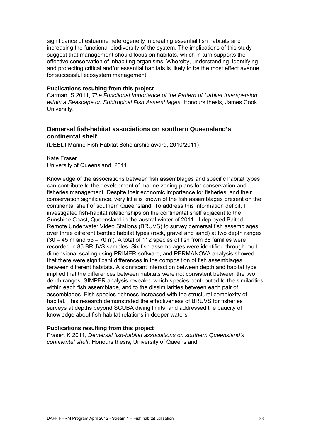<span id="page-32-1"></span>significance of estuarine heterogeneity in creating essential fish habitats and increasing the functional biodiversity of the system. The implications of this study suggest that management should focus on habitats, which in turn supports the effective conservation of inhabiting organisms. Whereby, understanding, identifying and protecting critical and/or essential habitats is likely to be the most effect avenue for successful ecosystem management.

#### **Publications resulting from this project**

Carman, S 2011, *The Functional Importance of the Pattern of Habitat Interspersion within a Seascape on Subtropical Fish Assemblages*, Honours thesis, James Cook University.

## <span id="page-32-0"></span>**Demersal fish-habitat associations on southern Queensland's continental shelf**

(DEEDI Marine Fish Habitat Scholarship award, 2010/2011)

Kate Fraser University of Queensland, 2011

Knowledge of the associations between fish assemblages and specific habitat types can contribute to the development of marine zoning plans for conservation and fisheries management. Despite their economic importance for fisheries, and their conservation significance, very little is known of the fish assemblages present on the continental shelf of southern Queensland. To address this information deficit, I investigated fish-habitat relationships on the continental shelf adjacent to the Sunshine Coast, Queensland in the austral winter of 2011. I deployed Baited Remote Underwater Video Stations (BRUVS) to survey demersal fish assemblages over three different benthic habitat types (rock, gravel and sand) at two depth ranges  $(30 - 45$  m and  $55 - 70$  m). A total of 112 species of fish from 38 families were recorded in 85 BRUVS samples. Six fish assemblages were identified through multidimensional scaling using PRIMER software, and PERMANOVA analysis showed that there were significant differences in the composition of fish assemblages between different habitats. A significant interaction between depth and habitat type implied that the differences between habitats were not consistent between the two depth ranges. SIMPER analysis revealed which species contributed to the similarities within each fish assemblage, and to the dissimilarities between each pair of assemblages. Fish species richness increased with the structural complexity of habitat. This research demonstrated the effectiveness of BRUVS for fisheries surveys at depths beyond SCUBA diving limits, and addressed the paucity of knowledge about fish-habitat relations in deeper waters.

#### **Publications resulting from this project**

Fraser, K 2011, *Demersal fish-habitat associations on southern Queensland's continental shelf*, Honours thesis, University of Queensland.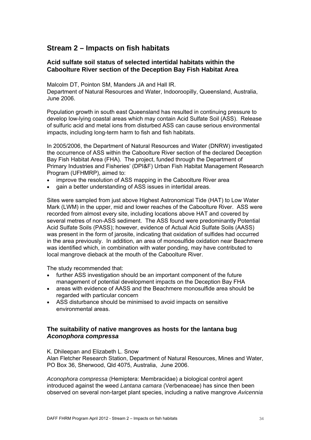## <span id="page-33-4"></span><span id="page-33-3"></span><span id="page-33-0"></span>**Stream 2 – Impacts on fish habitats**

## <span id="page-33-1"></span>**Acid sulfate soil status of selected intertidal habitats within the Caboolture River section of the Deception Bay Fish Habitat Area**

Malcolm DT, Pointon SM, Manders JA and Hall IR. Department of Natural Resources and Water, Indooroopilly, Queensland, Australia, June 2006.

Population growth in south east Queensland has resulted in continuing pressure to develop low-lying coastal areas which may contain Acid Sulfate Soil (ASS). Release of sulfuric acid and metal ions from disturbed ASS can cause serious environmental impacts, including long-term harm to fish and fish habitats.

In 2005/2006, the Department of Natural Resources and Water (DNRW) investigated the occurrence of ASS within the Caboolture River section of the declared Deception Bay Fish Habitat Area (FHA). The project, funded through the Department of Primary Industries and Fisheries' (DPI&F) Urban Fish Habitat Management Research Program (UFHMRP), aimed to:

- improve the resolution of ASS mapping in the Caboolture River area
- gain a better understanding of ASS issues in intertidal areas.

Sites were sampled from just above Highest Astronomical Tide (HAT) to Low Water Mark (LWM) in the upper, mid and lower reaches of the Caboolture River. ASS were recorded from almost every site, including locations above HAT and covered by several metres of non-ASS sediment. The ASS found were predominantly Potential Acid Sulfate Soils (PASS); however, evidence of Actual Acid Sulfate Soils (AASS) was present in the form of jarosite, indicating that oxidation of sulfides had occurred in the area previously. In addition, an area of monosulfide oxidation near Beachmere was identified which, in combination with water ponding, may have contributed to local mangrove dieback at the mouth of the Caboolture River.

The study recommended that:

- further ASS investigation should be an important component of the future management of potential development impacts on the Deception Bay FHA
- areas with evidence of AASS and the Beachmere monosulfide area should be regarded with particular concern
- ASS disturbance should be minimised to avoid impacts on sensitive environmental areas.

## <span id="page-33-2"></span>**The suitability of native mangroves as hosts for the lantana bug**  *Aconophora compressa*

K. Dhileepan and Elizabeth L. Snow

Alan Fletcher Research Station, Department of Natural Resources, Mines and Water, PO Box 36, Sherwood, Qld 4075, Australia, June 2006.

*Aconophora compressa* (Hemiptera: Membracidae) a biological control agent introduced against the weed *Lantana camara* (Verbenaceae) has since then been observed on several non-target plant species, including a native mangrove *Avicennia*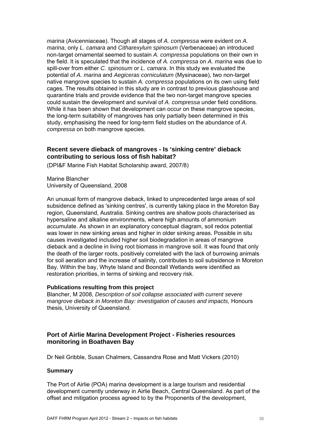<span id="page-34-3"></span><span id="page-34-2"></span>*marina* (Avicenniaceae). Though all stages of *A. compressa* were evident on *A. marina*, only *L. camara* and *Citharexylum spinosum* (Verbenaceae) an introduced non-target ornamental seemed to sustain *A. compressa* populations on their own in the field. It is speculated that the incidence of *A. compressa* on *A. marina* was due to spill-over from either *C. spinosum* or *L. camara*. In this study we evaluated the potential of *A. marina* and *Aegiceras corniculatum* (Mysinaceae), two non-target native mangrove species to sustain *A. compressa* populations on its own using field cages. The results obtained in this study are in contrast to previous glasshouse and quarantine trials and provide evidence that the two non-target mangrove species could sustain the development and survival of *A. compressa* under field conditions. While it has been shown that development can occur on these mangrove species, the long-term suitability of mangroves has only partially been determined in this study, emphasising the need for long-term field studies on the abundance of *A. compressa* on both mangrove species.

## <span id="page-34-0"></span>**Recent severe dieback of mangroves - Is 'sinking centre' dieback contributing to serious loss of fish habitat?**

(DPI&F Marine Fish Habitat Scholarship award, 2007/8)

Marine Blancher University of Queensland, 2008

An unusual form of mangrove dieback, linked to unprecedented large areas of soil subsidence defined as 'sinking centres', is currently taking place in the Moreton Bay region, Queensland, Australia. Sinking centres are shallow pools characterised as hypersaline and alkaline environments, where high amounts of ammonium accumulate. As shown in an explanatory conceptual diagram, soil redox potential was lower in new sinking areas and higher in older sinking areas. Possible in situ causes investigated included higher soil biodegradation in areas of mangrove dieback and a decline in living root biomass in mangrove soil. It was found that only the death of the larger roots, positively correlated with the lack of burrowing animals for soil aeration and the increase of salinity, contributes to soil subsidence in Moreton Bay. Within the bay, Whyte Island and Boondall Wetlands were identified as restoration priorities, in terms of sinking and recovery risk.

#### **Publications resulting from this project**

Blancher, M 2008, *Description of soil collapse associated with current severe mangrove dieback in Moreton Bay: investigation of causes and impacts,* Honours thesis, University of Queensland.

## <span id="page-34-1"></span>**Port of Airlie Marina Development Project - Fisheries resources monitoring in Boathaven Bay**

Dr Neil Gribble, Susan Chalmers, Cassandra Rose and Matt Vickers (2010)

#### **Summary**

The Port of Airlie (POA) marina development is a large tourism and residential development currently underway in Airlie Beach, Central Queensland. As part of the offset and mitigation process agreed to by the Proponents of the development,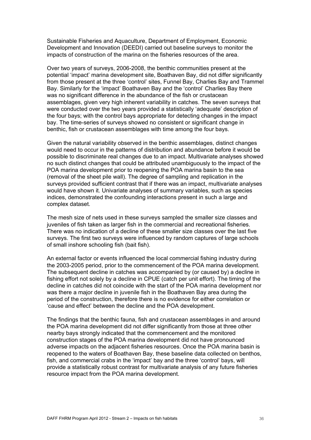Sustainable Fisheries and Aquaculture, Department of Employment, Economic Development and Innovation (DEEDI) carried out baseline surveys to monitor the impacts of construction of the marina on the fisheries resources of the area.

Over two years of surveys, 2006-2008, the benthic communities present at the potential 'impact' marina development site, Boathaven Bay, did not differ significantly from those present at the three 'control' sites, Funnel Bay, Charlies Bay and Trammel Bay. Similarly for the 'impact' Boathaven Bay and the 'control' Charlies Bay there was no significant difference in the abundance of the fish or crustacean assemblages, given very high inherent variability in catches. The seven surveys that were conducted over the two years provided a statistically 'adequate' description of the four bays; with the control bays appropriate for detecting changes in the impact bay. The time-series of surveys showed no consistent or significant change in benthic, fish or crustacean assemblages with time among the four bays.

Given the natural variability observed in the benthic assemblages, distinct changes would need to occur in the patterns of distribution and abundance before it would be possible to discriminate real changes due to an impact. Multivariate analyses showed no such distinct changes that could be attributed unambiguously to the impact of the POA marina development prior to reopening the POA marina basin to the sea (removal of the sheet pile wall). The degree of sampling and replication in the surveys provided sufficient contrast that if there was an impact, multivariate analyses would have shown it. Univariate analyses of summary variables, such as species indices, demonstrated the confounding interactions present in such a large and complex dataset.

The mesh size of nets used in these surveys sampled the smaller size classes and juveniles of fish taken as larger fish in the commercial and recreational fisheries. There was no indication of a decline of these smaller size classes over the last five surveys. The first two surveys were influenced by random captures of large schools of small inshore schooling fish (bait fish).

An external factor or events influenced the local commercial fishing industry during the 2003-2005 period, prior to the commencement of the POA marina development. The subsequent decline in catches was accompanied by (or caused by) a decline in fishing effort not solely by a decline in CPUE (catch per unit effort). The timing of the decline in catches did not coincide with the start of the POA marina development nor was there a major decline in juvenile fish in the Boathaven Bay area during the period of the construction, therefore there is no evidence for either correlation or 'cause and effect' between the decline and the POA development.

The findings that the benthic fauna, fish and crustacean assemblages in and around the POA marina development did not differ significantly from those at three other nearby bays strongly indicated that the commencement and the monitored construction stages of the POA marina development did not have pronounced adverse impacts on the adjacent fisheries resources. Once the POA marina basin is reopened to the waters of Boathaven Bay, these baseline data collected on benthos, fish, and commercial crabs in the 'impact' bay and the three 'control' bays, will provide a statistically robust contrast for multivariate analysis of any future fisheries resource impact from the POA marina development.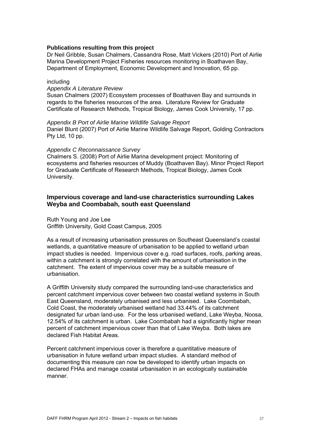<span id="page-36-1"></span>Dr Neil Gribble, Susan Chalmers, Cassandra Rose, Matt Vickers (2010) Port of Airlie Marina Development Project Fisheries resources monitoring in Boathaven Bay, Department of Employment, Economic Development and Innovation, 65 pp.

#### including

#### *Appendix A Literature Review*

Susan Chalmers (2007) Ecosystem processes of Boathaven Bay and surrounds in regards to the fisheries resources of the area. Literature Review for Graduate Certificate of Research Methods, Tropical Biology, James Cook University, 17 pp.

*Appendix B Port of Airlie Marine Wildlife Salvage Report*  Daniel Blunt (2007) Port of Airlie Marine Wildlife Salvage Report, Golding Contractors Pty Ltd, 10 pp.

#### *Appendix C Reconnaissance Survey*

Chalmers S. (2008) Port of Airlie Marina development project: Monitoring of ecosystems and fisheries resources of Muddy (Boathaven Bay). Minor Project Report for Graduate Certificate of Research Methods, Tropical Biology, James Cook University.

## <span id="page-36-0"></span>**Impervious coverage and land-use characteristics surrounding Lakes Weyba and Coombabah, south east Queensland**

Ruth Young and Joe Lee Griffith University, Gold Coast Campus, 2005

As a result of increasing urbanisation pressures on Southeast Queensland's coastal wetlands, a quantitative measure of urbanisation to be applied to wetland urban impact studies is needed. Impervious cover e.g. road surfaces, roofs, parking areas, within a catchment is strongly correlated with the amount of urbanisation in the catchment. The extent of impervious cover may be a suitable measure of urbanisation.

A Griffith University study compared the surrounding land-use characteristics and percent catchment impervious cover between two coastal wetland systems in South East Queensland, moderately urbanised and less urbanised. Lake Coombabah, Cold Coast, the moderately urbanised wetland had 33.44% of its catchment designated fur urban land-use. For the less urbanised wetland, Lake Weyba, Noosa, 12.54% of its catchment is urban. Lake Coombabah had a significantly higher mean percent of catchment impervious cover than that of Lake Weyba. Both lakes are declared Fish Habitat Areas.

Percent catchment impervious cover is therefore a quantitative measure of urbanisation in future wetland urban impact studies. A standard method of documenting this measure can now be developed to identify urban impacts on declared FHAs and manage coastal urbanisation in an ecologically sustainable manner.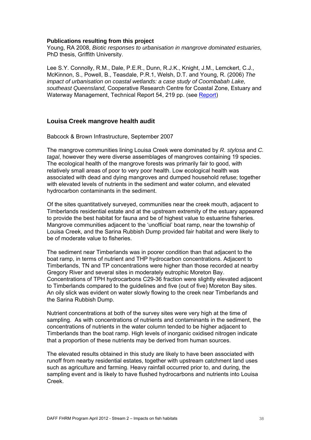<span id="page-37-1"></span>Young, RA 2008, *Biotic responses to urbanisation in mangrove dominated estuaries,* PhD thesis, Griffith University.

Lee S.Y. Connolly, R.M., Dale, P.E.R., Dunn, R.J.K., Knight, J.M., Lemckert, C.J., McKinnon, S., Powell, B., Teasdale, P.R.1, Welsh, D.T. and Young, R. (2006) *The impact of urbanisation on coastal wetlands: a case study of Coombabah Lake, southeast Queensland,* Cooperative Research Centre for Coastal Zone, Estuary and Waterway Management, Technical Report 54, 219 pp. (see [Report\)](http://www.ozcoasts.gov.au/pdf/CRC/54-coombabah.pdf)

#### <span id="page-37-0"></span>**Louisa Creek mangrove health audit**

Babcock & Brown Infrastructure, September 2007

The mangrove communities lining Louisa Creek were dominated by *R. stylosa* and *C. tagal*, however they were diverse assemblages of mangroves containing 19 species. The ecological health of the mangrove forests was primarily fair to good, with relatively small areas of poor to very poor health. Low ecological health was associated with dead and dying mangroves and dumped household refuse; together with elevated levels of nutrients in the sediment and water column, and elevated hydrocarbon contaminants in the sediment.

Of the sites quantitatively surveyed, communities near the creek mouth, adjacent to Timberlands residential estate and at the upstream extremity of the estuary appeared to provide the best habitat for fauna and be of highest value to estuarine fisheries. Mangrove communities adjacent to the 'unofficial' boat ramp, near the township of Louisa Creek, and the Sarina Rubbish Dump provided fair habitat and were likely to be of moderate value to fisheries.

The sediment near Timberlands was in poorer condition than that adjacent to the boat ramp, in terms of nutrient and THP hydrocarbon concentrations. Adjacent to Timberlands, TN and TP concentrations were higher than those recorded at nearby Gregory River and several sites in moderately eutrophic Moreton Bay. Concentrations of TPH hydrocarbons C29-36 fraction were slightly elevated adjacent to Timberlands compared to the guidelines and five (out of five) Moreton Bay sites. An oily slick was evident on water slowly flowing to the creek near Timberlands and the Sarina Rubbish Dump.

Nutrient concentrations at both of the survey sites were very high at the time of sampling. As with concentrations of nutrients and contaminants in the sediment, the concentrations of nutrients in the water column tended to be higher adjacent to Timberlands than the boat ramp. High levels of inorganic oxidised nitrogen indicate that a proportion of these nutrients may be derived from human sources.

The elevated results obtained in this study are likely to have been associated with runoff from nearby residential estates, together with upstream catchment land uses such as agriculture and farming. Heavy rainfall occurred prior to, and during, the sampling event and is likely to have flushed hydrocarbons and nutrients into Louisa Creek.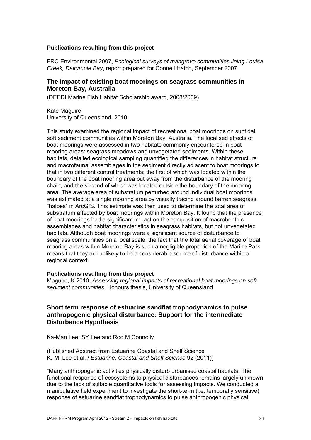<span id="page-38-3"></span><span id="page-38-2"></span>FRC Environmental 2007, *Ecological surveys of mangrove communities lining Louisa Creek, Dalrymple Bay*, report prepared for Connell Hatch, September 2007.

## <span id="page-38-0"></span>**The impact of existing boat moorings on seagrass communities in Moreton Bay, Australia**

(DEEDI Marine Fish Habitat Scholarship award, 2008/2009)

Kate Maguire University of Queensland, 2010

This study examined the regional impact of recreational boat moorings on subtidal soft sediment communities within Moreton Bay, Australia. The localised effects of boat moorings were assessed in two habitats commonly encountered in boat mooring areas: seagrass meadows and unvegetated sediments. Within these habitats, detailed ecological sampling quantified the differences in habitat structure and macrofaunal assemblages in the sediment directly adjacent to boat moorings to that in two different control treatments; the first of which was located within the boundary of the boat mooring area but away from the disturbance of the mooring chain, and the second of which was located outside the boundary of the mooring area. The average area of substratum perturbed around individual boat moorings was estimated at a single mooring area by visually tracing around barren seagrass "haloes" in ArcGIS. This estimate was then used to determine the total area of substratum affected by boat moorings within Moreton Bay. It found that the presence of boat moorings had a significant impact on the composition of macrobenthic assemblages and habitat characteristics in seagrass habitats, but not unvegetated habitats. Although boat moorings were a significant source of disturbance to seagrass communities on a local scale, the fact that the total aerial coverage of boat mooring areas within Moreton Bay is such a negligible proportion of the Marine Park means that they are unlikely to be a considerable source of disturbance within a regional context.

#### **Publications resulting from this project**

Maguire, K 2010, *Assessing regional impacts of recreational boat moorings on soft sediment communities*, Honours thesis, University of Queensland.

## <span id="page-38-1"></span>**Short term response of estuarine sandflat trophodynamics to pulse anthropogenic physical disturbance: Support for the intermediate Disturbance Hypothesis**

Ka-Man Lee, SY Lee and Rod M Connolly

(Published Abstract from Estuarine Coastal and Shelf Science K.-M. Lee et al. / *Estuarine, Coastal and Shelf Science* 92 (2011))

"Many anthropogenic activities physically disturb urbanised coastal habitats. The functional response of ecosystems to physical disturbances remains largely unknown due to the lack of suitable quantitative tools for assessing impacts. We conducted a manipulative field experiment to investigate the short-term (i.e. temporally sensitive) response of estuarine sandflat trophodynamics to pulse anthropogenic physical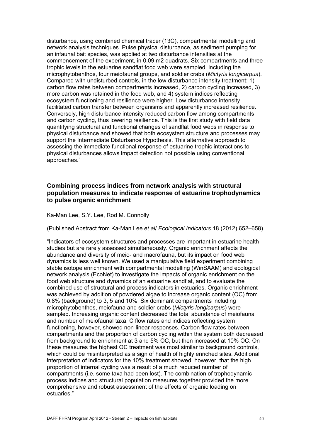<span id="page-39-2"></span><span id="page-39-1"></span>disturbance, using combined chemical tracer (13C), compartmental modelling and network analysis techniques. Pulse physical disturbance, as sediment pumping for an infaunal bait species, was applied at two disturbance intensities at the commencement of the experiment, in 0.09 m2 quadrats. Six compartments and three trophic levels in the estuarine sandflat food web were sampled, including the microphytobenthos, four meiofaunal groups, and soldier crabs (*Mictyris longicarpus*). Compared with undisturbed controls, in the low disturbance intensity treatment: 1) carbon flow rates between compartments increased, 2) carbon cycling increased, 3) more carbon was retained in the food web, and 4) system indices reflecting ecosystem functioning and resilience were higher. Low disturbance intensity facilitated carbon transfer between organisms and apparently increased resilience. Conversely, high disturbance intensity reduced carbon flow among compartments and carbon cycling, thus lowering resilience. This is the first study with field data quantifying structural and functional changes of sandflat food webs in response to physical disturbance and showed that both ecosystem structure and processes may support the Intermediate Disturbance Hypothesis. This alternative approach to assessing the immediate functional response of estuarine trophic interactions to hysical disturbances allows impact detection not possible using conventional p approaches."

## <span id="page-39-0"></span>**Combining process indices from network analysis with structural population measures to indicate response of estuarine trophodynamics to pulse organic enrichment**

Ka-Man Lee, S.Y. Lee, Rod M. Connolly

(Published Abstract from Ka-Man Lee *et al*/ *Ecological Indicators* 18 (2012) 652–658)

"Indicators of ecosystem structures and processes are important in estuarine health studies but are rarely assessed simultaneously. Organic enrichment affects the abundance and diversity of meio- and macrofauna, but its impact on food web dynamics is less well known. We used a manipulative field experiment combining stable isotope enrichment with compartmental modelling (WinSAAM) and ecological network analysis (EcoNet) to investigate the impacts of organic enrichment on the food web structure and dynamics of an estuarine sandflat, and to evaluate the combined use of structural and process indicators in estuaries. Organic enrichment was achieved by addition of powdered algae to increase organic content (OC) from 0.8% (background) to 3, 5 and 10%. Six dominant compartments including microphytobenthos, meiofauna and soldier crabs (*Mictyris longicarpus*) were sampled. Increasing organic content decreased the total abundance of meiofauna and number of meiofaunal taxa. C flow rates and indices reflecting system functioning, however, showed non-linear responses. Carbon flow rates between compartments and the proportion of carbon cycling within the system both decreased from background to enrichment at 3 and 5% OC, but then increased at 10% OC. On these measures the highest OC treatment was most similar to background controls, which could be misinterpreted as a sign of health of highly enriched sites. Additional interpretation of indicators for the 10% treatment showed, however, that the high proportion of internal cycling was a result of a much reduced number of compartments (i.e. some taxa had been lost). The combination of trophodynamic process indices and structural population measures together provided the more comprehensive and robust assessment of the effects of organic loading on estuaries."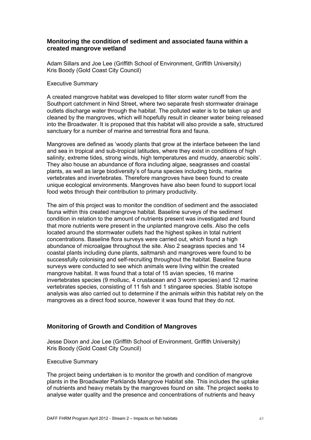## <span id="page-40-2"></span><span id="page-40-0"></span>**Monitoring the condition of sediment and associated fauna within a created mangrove wetland**

Adam Sillars and Joe Lee (Griffith School of Environment, Griffith University) Kris Boody (Gold Coast City Council)

#### Executive Summary

A created mangrove habitat was developed to filter storm water runoff from the Southport catchment in Nind Street, where two separate fresh stormwater drainage outlets discharge water through the habitat. The polluted water is to be taken up and cleaned by the mangroves, which will hopefully result in cleaner water being released into the Broadwater. It is proposed that this habitat will also provide a safe, structured sanctuary for a number of marine and terrestrial flora and fauna.

Mangroves are defined as 'woody plants that grow at the interface between the land and sea in tropical and sub-tropical latitudes, where they exist in conditions of high salinity, extreme tides, strong winds, high temperatures and muddy, anaerobic soils'. They also house an abundance of flora including algae, seagrasses and coastal plants, as well as large biodiversity's of fauna species including birds, marine vertebrates and invertebrates. Therefore mangroves have been found to create unique ecological environments. Mangroves have also been found to support local food webs through their contribution to primary productivity.

The aim of this project was to monitor the condition of sediment and the associated fauna within this created mangrove habitat. Baseline surveys of the sediment condition in relation to the amount of nutrients present was investigated and found that more nutrients were present in the unplanted mangrove cells. Also the cells located around the stormwater outlets had the highest spikes in total nutrient concentrations. Baseline flora surveys were carried out, which found a high abundance of microalgae throughout the site. Also 2 seagrass species and 14 coastal plants including dune plants, saltmarsh and mangroves were found to be successfully colonising and self-recruiting throughout the habitat. Baseline fauna surveys were conducted to see which animals were living within the created mangrove habitat. It was found that a total of 15 avian species, 16 marine invertebrates species (9 mollusc, 4 crustacean and 3 worm species) and 12 marine vertebrates species, consisting of 11 fish and 1 stingaree species. Stable isotope analysis was also carried out to determine if the animals within this habitat rely on the mangroves as a direct food source, however it was found that they do not.

## <span id="page-40-1"></span>**Monitoring of Growth and Condition of Mangroves**

Jesse Dixon and Joe Lee (Griffith School of Environment, Griffith University) Kris Boody (Gold Coast City Council)

#### Executive Summary

The project being undertaken is to monitor the growth and condition of mangrove plants in the Broadwater Parklands Mangrove Habitat site. This includes the uptake of nutrients and heavy metals by the mangroves found on site. The project seeks to analyse water quality and the presence and concentrations of nutrients and heavy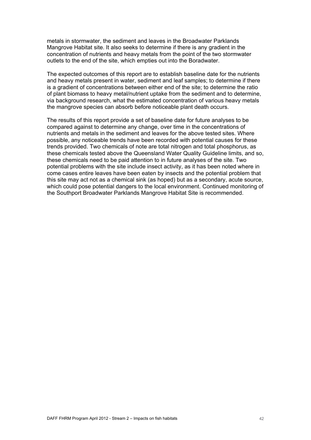metals in stormwater, the sediment and leaves in the Broadwater Parklands Mangrove Habitat site. It also seeks to determine if there is any gradient in the concentration of nutrients and heavy metals from the point of the two stormwater outlets to the end of the site, which empties out into the Boradwater.

The expected outcomes of this report are to establish baseline date for the nutrients and heavy metals present in water, sediment and leaf samples; to determine if there is a gradient of concentrations between either end of the site; to determine the ratio of plant biomass to heavy metal/nutrient uptake from the sediment and to determine, via background research, what the estimated concentration of various heavy metals the mangrove species can absorb before noticeable plant death occurs.

The results of this report provide a set of baseline date for future analyses to be compared against to determine any change, over time in the concentrations of nutrients and metals in the sediment and leaves for the above tested sites. Where possible, any noticeable trends have been recorded with potential causes for these trends provided. Two chemicals of note are total nitrogen and total phosphorus, as these chemicals tested above the Queensland Water Quality Guideline limits, and so, these chemicals need to be paid attention to in future analyses of the site. Two potential problems with the site include insect activity, as it has been noted where in come cases entire leaves have been eaten by insects and the potential problem that this site may act not as a chemical sink (as hoped) but as a secondary, acute source, which could pose potential dangers to the local environment. Continued monitoring of the Southport Broadwater Parklands Mangrove Habitat Site is recommended.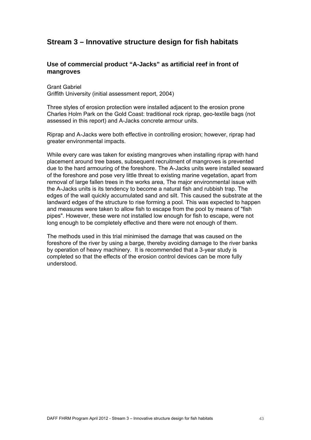## <span id="page-42-0"></span>**Stream 3 – [Innovative structure design for fish habitats](#page-16-2)**

## <span id="page-42-1"></span>**Use of commercial product "A-Jacks" as artificial reef in front of mangroves**

Grant Gabriel Griffith University (initial assessment report, 2004)

Three styles of erosion protection were installed adjacent to the erosion prone Charles Holm Park on the Gold Coast: traditional rock riprap, geo-textile bags (not assessed in this report) and A-Jacks concrete armour units.

Riprap and A-Jacks were both effective in controlling erosion; however, riprap had greater environmental impacts.

While every care was taken for existing mangroves when installing riprap with hand placement around tree bases, subsequent recruitment of mangroves is prevented due to the hard armouring of the foreshore. The A-Jacks units were installed seaward of the foreshore and pose very little threat to existing marine vegetation, apart from removal of large fallen trees in the works area, The major environmental issue with the A-Jacks units is its tendency to become a natural fish and rubbish trap. The edges of the wall quickly accumulated sand and silt. This caused the substrate at the landward edges of the structure to rise forming a pool. This was expected to happen and measures were taken to allow fish to escape from the pool by means of "fish pipes". However, these were not installed low enough for fish to escape, were not long enough to be completely effective and there were not enough of them.

The methods used in this trial minimised the damage that was caused on the foreshore of the river by using a barge, thereby avoiding damage to the river banks by operation of heavy machinery. It is recommended that a 3-year study is completed so that the effects of the erosion control devices can be more fully understood.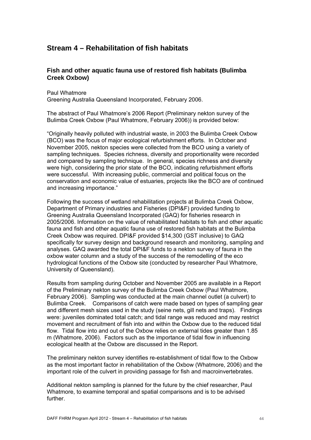## <span id="page-43-2"></span><span id="page-43-0"></span>**Stream 4 – Rehabilitation of fish habitats**

## <span id="page-43-1"></span>**Fish and other aquatic fauna use of restored fish habitats (Bulimba Creek Oxbow)**

Paul Whatmore Greening Australia Queensland Incorporated, February 2006.

The abstract of Paul Whatmore's 2006 Report (Preliminary nekton survey of the Bulimba Creek Oxbow (Paul Whatmore, February 2006)) is provided below:

"Originally heavily polluted with industrial waste, in 2003 the Bulimba Creek Oxbow (BCO) was the focus of major ecological refurbishment efforts. In October and November 2005, nekton species were collected from the BCO using a variety of sampling techniques. Species richness, diversity and proportionality were recorded and compared by sampling technique. In general, species richness and diversity were high, considering the prior state of the BCO, indicating refurbishment efforts were successful. With increasing public, commercial and political focus on the conservation and economic value of estuaries, projects like the BCO are of continued and increasing importance."

Following the success of wetland rehabilitation projects at Bulimba Creek Oxbow, Department of Primary industries and Fisheries (DPI&F) provided funding to Greening Australia Queensland Incorporated (GAQ) for fisheries research in 2005/2006. Information on the value of rehabilitated habitats to fish and other aquatic fauna and fish and other aquatic fauna use of restored fish habitats at the Bulimba Creek Oxbow was required. DPI&F provided \$14,300 (GST inclusive) to GAQ specifically for survey design and background research and monitoring, sampling and analyses. GAQ awarded the total DPI&F funds to a nekton survey of fauna in the oxbow water column and a study of the success of the remodelling of the eco hydrological functions of the Oxbow site (conducted by researcher Paul Whatmore, University of Queensland).

Results from sampling during October and November 2005 are available in a Report of the Preliminary nekton survey of the Bulimba Creek Oxbow (Paul Whatmore, February 2006). Sampling was conducted at the main channel outlet (a culvert) to Bulimba Creek. Comparisons of catch were made based on types of sampling gear and different mesh sizes used in the study (seine nets, gill nets and traps). Findings were: juveniles dominated total catch; and tidal range was reduced and may restrict movement and recruitment of fish into and within the Oxbow due to the reduced tidal flow. Tidal flow into and out of the Oxbow relies on external tides greater than 1.85 m (Whatmore, 2006). Factors such as the importance of tidal flow in influencing ecological health at the Oxbow are discussed in the Report.

The preliminary nekton survey identifies re-establishment of tidal flow to the Oxbow as the most important factor in rehabilitation of the Oxbow (Whatmore, 2006) and the important role of the culvert in providing passage for fish and macroinvertebrates.

Additional nekton sampling is planned for the future by the chief researcher, Paul Whatmore, to examine temporal and spatial comparisons and is to be advised further.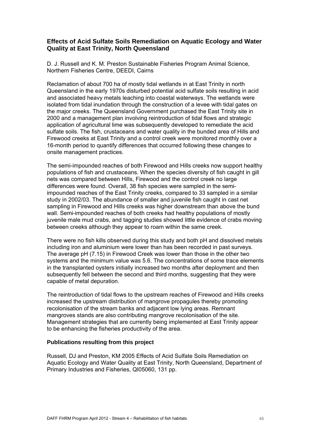## <span id="page-44-2"></span><span id="page-44-1"></span><span id="page-44-0"></span>**E ffects of Acid Sulfate Soils Remediation on Aquatic Ecology and Water Q uality at East Trinity, North Queensland**

D. J. Russell and K. M. Preston Sustainable Fisheries Program Animal Science, Northern Fisheries Centre, DEEDI, Cairns

Reclamation of about 700 ha of mostly tidal wetlands in at East Trinity in north Queensland in the early 1970s disturbed potential acid sulfate soils resulting in acid and associated heavy metals leaching into coastal waterways. The wetlands were isolated from tidal inundation through the construction of a levee with tidal gates on the major creeks. The Queensland Government purchased the East Trinity site in 2000 and a management plan involving reintroduction of tidal flows and strategic application of agricultural lime was subsequently developed to remediate the acid sulfate soils. The fish, crustaceans and water quality in the bunded area of Hills and Firewood creeks at East Trinity and a control creek were monitored monthly over a 16-month period to quantify differences that occurred following these changes to onsite management practices.

The semi-impounded reaches of both Firewood and Hills creeks now support healthy populations of fish and crustaceans. When the species diversity of fish caught in gill nets was compared between Hills, Firewood and the control creek no large differences were found. Overall, 38 fish species were sampled in the semiimpounded reaches of the East Trinity creeks, compared to 33 sampled in a similar study in 2002/03. The abundance of smaller and juvenile fish caught in cast net sampling in Firewood and Hills creeks was higher downstream than above the bund wall. Semi-impounded reaches of both creeks had healthy populations of mostly juvenile male mud crabs, and tagging studies showed little evidence of crabs moving between creeks although they appear to roam within the same creek.

There were no fish kills observed during this study and both pH and dissolved metals including iron and aluminium were lower than has been recorded in past surveys. The average pH (7.15) in Firewood Creek was lower than those in the other two systems and the minimum value was 5.6. The concentrations of some trace elements in the transplanted oysters initially increased two months after deployment and then subsequently fell between the second and third months, suggesting that they were capable of metal depuration.

The reintroduction of tidal flows to the upstream reaches of Firewood and Hills creeks increased the upstream distribution of mangrove propagules thereby promoting recolonisation of the stream banks and adjacent low lying areas. Remnant mangroves stands are also contributing mangrove recolonisation of the site. Management strategies that are currently being implemented at East Trinity appear to be enhancing the fisheries productivity of the area.

### **Publications resulting from this project**

Russell, DJ and Preston, KM 2005 Effects of Acid Sulfate Soils Remediation on Aquatic Ecology and Water Quality at East Trinity, North Queensland, Department of Primary Industries and Fisheries, QI05060, 131 pp.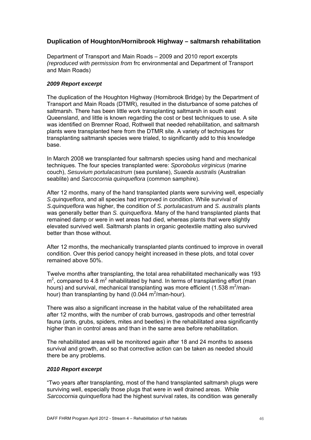## <span id="page-45-0"></span>**Duplication of Houghton/Hornibrook Highway – saltmarsh rehabilitation**

Department of Transport and Main Roads – 2009 and 2010 report excerpts *(reproduced with permission from* frc environmental and Department of Transport and Main Roads)

### *2009 Report excerpt*

The duplication of the Houghton Highway (Hornibrook Bridge) by the Department of Transport and Main Roads (DTMR), resulted in the disturbance of some patches of saltmarsh. There has been little work transplanting saltmarsh in south east Queensland, and little is known regarding the cost or best techniques to use. A site was identified on Bremner Road, Rothwell that needed rehabilitation, and saltmarsh plants were transplanted here from the DTMR site. A variety of techniques for transplanting saltmarsh species were trialed, to significantly add to this knowledge base.

In March 2008 we transplanted four saltmarsh species using hand and mechanical techniques. The four species transplanted were: *Sporobolus virginicus* (marine couch), *Sesuvium portulacastrum* (sea purslane), *Suaeda australis* (Australian seablite) and *Sarcocornia quinqueflora* (common samphire).

After 12 months, many of the hand transplanted plants were surviving well, especially *S.quinqueflora*, and all species had improved in condition. While survival of *S.quinqueflora* was higher, the condition of *S. portulacastrum* and *S. australis* plants was generally better than *S. quinqueflora*. Many of the hand transplanted plants that remained damp or were in wet areas had died, whereas plants that were slightly elevated survived well. Saltmarsh plants in organic geotextile matting also survived better than those without.

After 12 months, the mechanically transplanted plants continued to improve in overall condition. Over this period canopy height increased in these plots, and total cover remained above 50%.

Twelve months after transplanting, the total area rehabilitated mechanically was 193  $m^2$ , compared to 4.8 m<sup>2</sup> rehabilitated by hand. In terms of transplanting effort (man hours) and survival, mechanical transplanting was more efficient (1.538 m<sup>2</sup>/manhour) than transplanting by hand (0.044  $m^2/m$ an-hour).

There was also a significant increase in the habitat value of the rehabilitated area after 12 months, with the number of crab burrows, gastropods and other terrestrial fauna (ants, grubs, spiders, mites and beetles) in the rehabilitated area significantly higher than in control areas and than in the same area before rehabilitation.

The rehabilitated areas will be monitored again after 18 and 24 months to assess survival and growth, and so that corrective action can be taken as needed should there be any problems.

#### *2010 Report excerpt*

"Two years after transplanting, most of the hand transplanted saltmarsh plugs were surviving well, especially those plugs that were in well drained areas. While *Sarcocornia quinqueflora* had the highest survival rates, its condition was generally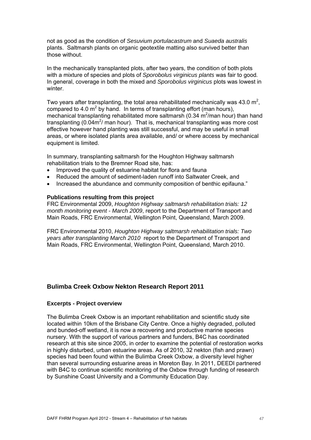<span id="page-46-1"></span>not as good as the condition of *Sesuvium portulacastrum* and *Suaeda australis* plants. Saltmarsh plants on organic geotextile matting also survived better than those without.

In the mechanically transplanted plots, after two years, the condition of both plots with a mixture of species and plots of *Sporobolus virginicus plants* was fair to good*.*  In general, coverage in both the mixed and *Sporobolus virginicus* plots was lowest in winter

Two years after transplanting, the total area rehabilitated mechanically was 43.0 m<sup>2</sup>, compared to 4.0  $m^2$  by hand. In terms of transplanting effort (man hours), mechanical transplanting rehabilitated more saltmarsh (0.34 m<sup>2</sup>/man hour) than hand transplanting (0.04 $m^2$ / man hour). That is, mechanical transplanting was more cost effective however hand planting was still successful, and may be useful in small areas, or where isolated plants area available, and/ or where access by mechanical equipment is limited.

In summary, transplanting saltmarsh for the Houghton Highway saltmarsh rehabilitation trials to the Bremner Road site, has:

- Improved the quality of estuarine habitat for flora and fauna
- Reduced the amount of sediment-laden runoff into Saltwater Creek, and
- Increased the abundance and community composition of benthic epifauna."

#### **Publications resulting from this project**

FRC Environmental 2009, *Houghton Highway saltmarsh rehabilitation trials: 12 month monitoring event - March 2009*, report to the Department of Transport and Main Roads, FRC Environmental, Wellington Point, Queensland, March 2009.

FRC Environmental 2010, *Houghton Highway saltmarsh rehabilitation trials: Two years after transplanting March 2010* report to the Department of Transport and Main Roads, FRC Environmental, Wellington Point, Queensland, March 2010.

#### <span id="page-46-0"></span>**Bulimba Creek Oxbow Nekton Research Report 2011**

#### **Excerpts - Project overview**

The Bulimba Creek Oxbow is an important rehabilitation and scientific study site located within 10km of the Brisbane City Centre. Once a highly degraded, polluted and bunded-off wetland, it is now a recovering and productive marine species nursery. With the support of various partners and funders, B4C has coordinated research at this site since 2005, in order to examine the potential of restoration works in highly disturbed, urban estuarine areas. As of 2010, 32 nekton (fish and prawn) species had been found within the Bulimba Creek Oxbow, a diversity level higher than several surrounding estuarine areas in Moreton Bay. In 2011, DEEDI partnered with B4C to continue scientific monitoring of the Oxbow through funding of research by Sunshine Coast University and a Community Education Day.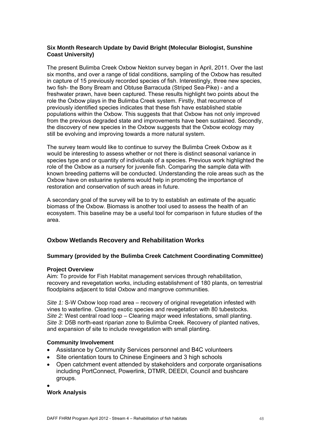## <span id="page-47-1"></span>**Six Month Research Update by David Bright (Molecular Biologist, Sunshine Coast University)**

The present Bulimba Creek Oxbow Nekton survey began in April, 2011. Over the last six months, and over a range of tidal conditions, sampling of the Oxbow has resulted in capture of 15 previously recorded species of fish. Interestingly, three new species, two fish- the Bony Bream and Obtuse Barracuda (Striped Sea-Pike) - and a freshwater prawn, have been captured. These results highlight two points about the role the Oxbow plays in the Bulimba Creek system. Firstly, that recurrence of previously identified species indicates that these fish have established stable populations within the Oxbow. This suggests that that Oxbow has not only improved from the previous degraded state and improvements have been sustained. Secondly, the discovery of new species in the Oxbow suggests that the Oxbow ecology may still be evolving and improving towards a more natural system.

The survey team would like to continue to survey the Bulimba Creek Oxbow as it would be interesting to assess whether or not there is distinct seasonal variance in species type and or quantity of individuals of a species. Previous work highlighted the role of the Oxbow as a nursery for juvenile fish. Comparing the sample data with known breeding patterns will be conducted. Understanding the role areas such as the Oxbow have on estuarine systems would help in promoting the importance of restoration and conservation of such areas in future.

A secondary goal of the survey will be to try to establish an estimate of the aquatic biomass of the Oxbow. Biomass is another tool used to assess the health of an ecosystem. This baseline may be a useful tool for comparison in future studies of the area.

## <span id="page-47-0"></span>**Oxbow Wetlands Recovery and Rehabilitation Works**

## **Summary (provided by the Bulimba Creek Catchment Coordinating Committee)**

#### **Project Overview**

Aim: To provide for Fish Habitat management services through rehabilitation, recovery and revegetation works, including establishment of 180 plants, on terrestrial floodplains adjacent to tidal Oxbow and mangrove communities.

*Site 1:* S-W Oxbow loop road area – recovery of original revegetation infested with vines to waterline. Clearing exotic species and revegetation with 80 tubestocks. *Site 2:* West central road loop – Clearing major weed infestations, small planting. *Site 3:* D5B north-east riparian zone to Bulimba Creek. Recovery of planted natives, and expansion of site to include revegetation with small planting.

## **Community Involvement**

- Assistance by Community Services personnel and B4C volunteers
- Site orientation tours to Chinese Engineers and 3 high schools
- Open catchment event attended by stakeholders and corporate organisations including PortConnect, Powerlink, DTMR, DEEDI, Council and bushcare groups.
- $\bullet$

## **Work Analysis**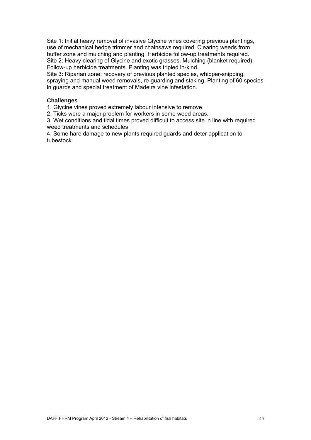Site 1: Initial heavy removal of invasive Glycine vines covering previous plantings, use of mechanical hedge trimmer and chainsaws required. Clearing weeds from buffer zone and mulching and planting. Herbicide follow-up treatments required. Site 2: Heavy clearing of Glycine and exotic grasses. Mulching (blanket required), Follow-up herbicide treatments. Planting was tripled in-kind.

Site 3: Riparian zone: recovery of previous planted species, whipper-snipping, spraying and manual weed removals, re-guarding and staking. Planting of 60 species in guards and special treatment of Madeira vine infestation.

## **Challenges**

1. Glycine vines proved extremely labour intensive to remove

2. Ticks were a major problem for workers in some weed areas.

3. Wet conditions and tidal times proved difficult to access site in line with required weed treatments and schedules

4. Some hare damage to new plants required guards and deter application to tubestock